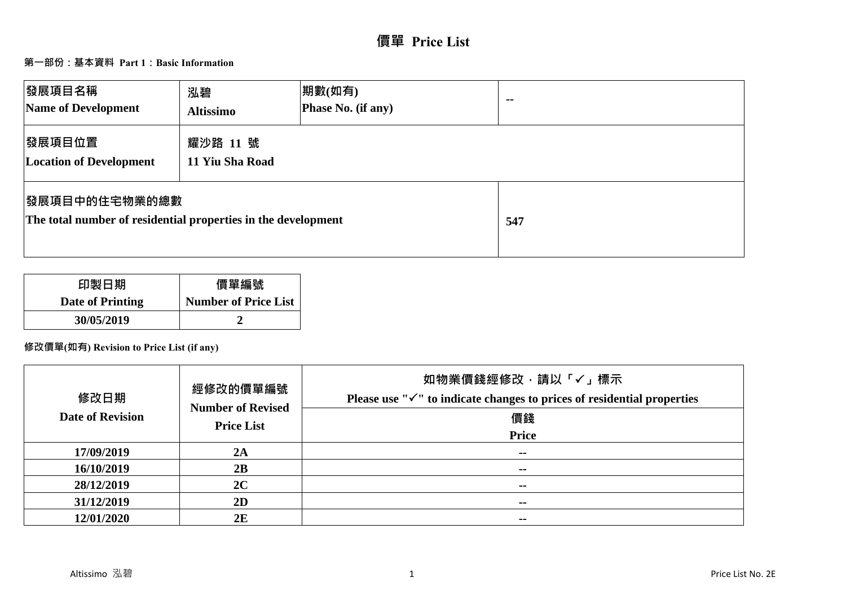# **價單 Price List**

## **第一部份:基本資料 Part 1:Basic Information**

| 發展項目名稱<br>Name of Development                                                          | 泓碧<br><b>Altissimo</b>      | 期數(如有)<br>Phase No. (if any) | $\sim$ $\sim$ |
|----------------------------------------------------------------------------------------|-----------------------------|------------------------------|---------------|
| 發展項目位置<br><b>Location of Development</b>                                               | 耀沙路 11 號<br>11 Yiu Sha Road |                              |               |
| <b> 發展項目中的住宅物業的總數</b><br>The total number of residential properties in the development |                             |                              | 547           |

| 印製日期             | 價單編號                        |
|------------------|-----------------------------|
| Date of Printing | <b>Number of Price List</b> |
| 30/05/2019       |                             |

# **修改價單(如有) Revision to Price List (if any)**

| 修改日期<br><b>Date of Revision</b> | 經修改的價單編號<br><b>Number of Revised</b><br><b>Price List</b> | 如物業價錢經修改,請以「√」標示<br>Please use " $\checkmark$ " to indicate changes to prices of residential properties<br>價錢<br><b>Price</b> |
|---------------------------------|-----------------------------------------------------------|-------------------------------------------------------------------------------------------------------------------------------|
| 17/09/2019                      | 2A                                                        | $\sim$ $\sim$                                                                                                                 |
| 16/10/2019                      | 2B                                                        | $\sim$ $\sim$                                                                                                                 |
| 28/12/2019                      | 2C                                                        | $\sim$                                                                                                                        |
| 31/12/2019                      | 2D                                                        | $\sim$                                                                                                                        |
| 12/01/2020                      | 2E                                                        | $\overline{\phantom{a}}$                                                                                                      |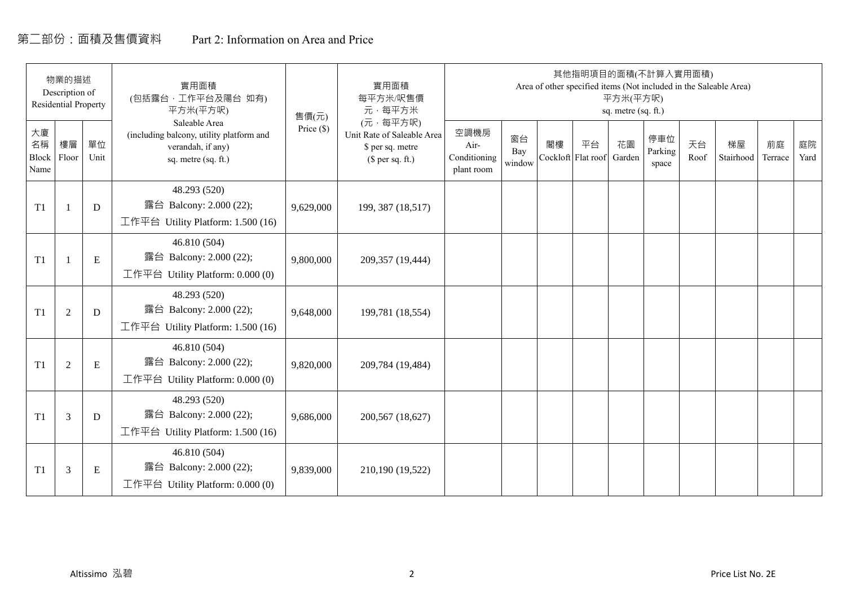# 第二部份:面積及售價資料 Part 2: Information on Area and Price

|                           | 物業的描述<br>Description of<br><b>Residential Property</b> |            | 實用面積<br>(包括露台,工作平台及陽台 如有)<br>平方米(平方呎)                                                                 | 售價(元)      | 實用面積<br>每平方米/呎售價<br>元·每平方米                                                     |                                            |                     |    | 其他指明項目的面積(不計算入實用面積)      | 平方米(平方呎)<br>sq. metre (sq. ft.) |                         |            | Area of other specified items (Not included in the Saleable Area) |               |            |
|---------------------------|--------------------------------------------------------|------------|-------------------------------------------------------------------------------------------------------|------------|--------------------------------------------------------------------------------|--------------------------------------------|---------------------|----|--------------------------|---------------------------------|-------------------------|------------|-------------------------------------------------------------------|---------------|------------|
| 大廈<br>名稱<br>Block<br>Name | 樓層<br>Floor                                            | 單位<br>Unit | Saleable Area<br>(including balcony, utility platform and<br>verandah, if any)<br>sq. metre (sq. ft.) | Price (\$) | (元·每平方呎)<br>Unit Rate of Saleable Area<br>\$ per sq. metre<br>$$$ per sq. ft.) | 空調機房<br>Air-<br>Conditioning<br>plant room | 窗台<br>Bay<br>window | 閣樓 | 平台<br>Cockloft Flat roof | 花園<br>Garden                    | 停車位<br>Parking<br>space | 天台<br>Roof | 梯屋<br>Stairhood                                                   | 前庭<br>Terrace | 庭院<br>Yard |
| T1                        |                                                        | D          | 48.293 (520)<br>露台 Balcony: 2.000 (22);<br>工作平台 Utility Platform: 1.500 (16)                          | 9,629,000  | 199, 387 (18,517)                                                              |                                            |                     |    |                          |                                 |                         |            |                                                                   |               |            |
| T1                        |                                                        | ${\bf E}$  | 46.810 (504)<br>露台 Balcony: 2.000 (22);<br>工作平台 Utility Platform: $0.000(0)$                          | 9,800,000  | 209,357 (19,444)                                                               |                                            |                     |    |                          |                                 |                         |            |                                                                   |               |            |
| T1                        | $\overline{2}$                                         | D          | 48.293 (520)<br>露台 Balcony: 2.000 (22);<br>工作平台 Utility Platform: 1.500 (16)                          | 9,648,000  | 199,781 (18,554)                                                               |                                            |                     |    |                          |                                 |                         |            |                                                                   |               |            |
| T1                        | 2                                                      | ${\bf E}$  | 46.810 (504)<br>露台 Balcony: 2.000 (22);<br>工作平台 Utility Platform: 0.000 (0)                           | 9,820,000  | 209,784 (19,484)                                                               |                                            |                     |    |                          |                                 |                         |            |                                                                   |               |            |
| T1                        | 3                                                      | D          | 48.293 (520)<br>露台 Balcony: 2.000 (22);<br>工作平台 Utility Platform: $1.500(16)$                         | 9,686,000  | 200,567 (18,627)                                                               |                                            |                     |    |                          |                                 |                         |            |                                                                   |               |            |
| T1                        | 3                                                      | Ε          | 46.810 (504)<br>露台 Balcony: 2.000 (22);<br>工作平台 Utility Platform: $0.000(0)$                          | 9,839,000  | 210,190 (19,522)                                                               |                                            |                     |    |                          |                                 |                         |            |                                                                   |               |            |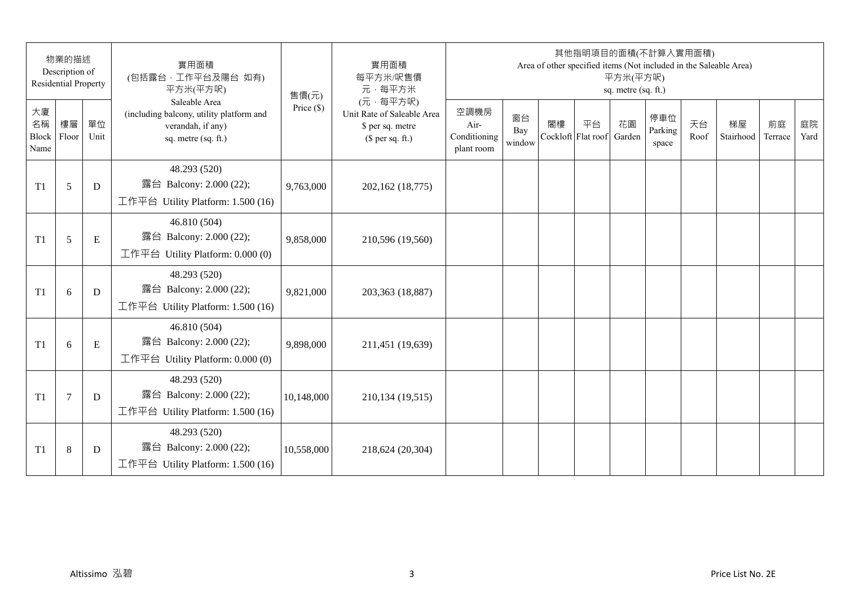|                           | 物業的描述<br>Description of<br><b>Residential Property</b> |            | 實用面積<br>(包括露台,工作平台及陽台 如有)<br>平方米(平方呎)                                                                 | 售價(元)        | 實用面積<br>每平方米/呎售價<br>元·每平方米                                                     |                                            |                     |    | 其他指明項目的面積(不計算入實用面積)      | 平方米(平方呎)<br>sq. metre (sq. ft.) |                         |            | Area of other specified items (Not included in the Saleable Area) |               |            |
|---------------------------|--------------------------------------------------------|------------|-------------------------------------------------------------------------------------------------------|--------------|--------------------------------------------------------------------------------|--------------------------------------------|---------------------|----|--------------------------|---------------------------------|-------------------------|------------|-------------------------------------------------------------------|---------------|------------|
| 大廈<br>名稱<br>Block<br>Name | 樓層<br>Floor                                            | 單位<br>Unit | Saleable Area<br>(including balcony, utility platform and<br>verandah, if any)<br>sq. metre (sq. ft.) | Price $(\$)$ | (元·每平方呎)<br>Unit Rate of Saleable Area<br>\$ per sq. metre<br>$$$ per sq. ft.) | 空調機房<br>Air-<br>Conditioning<br>plant room | 窗台<br>Bay<br>window | 閣樓 | 平台<br>Cockloft Flat roof | 花園<br>Garden                    | 停車位<br>Parking<br>space | 天台<br>Roof | 梯屋<br>Stairhood                                                   | 前庭<br>Terrace | 庭院<br>Yard |
| T <sub>1</sub>            | 5                                                      | D          | 48.293 (520)<br>露台 Balcony: 2.000 (22);<br>工作平台 Utility Platform: 1.500 (16)                          | 9,763,000    | 202,162 (18,775)                                                               |                                            |                     |    |                          |                                 |                         |            |                                                                   |               |            |
| T1                        | 5                                                      | ${\bf E}$  | 46.810 (504)<br>露台 Balcony: 2.000 (22);<br>工作平台 Utility Platform: $0.000(0)$                          | 9,858,000    | 210,596 (19,560)                                                               |                                            |                     |    |                          |                                 |                         |            |                                                                   |               |            |
| T <sub>1</sub>            | 6                                                      | D          | 48.293 (520)<br>露台 Balcony: 2.000 (22);<br>工作平台 Utility Platform: 1.500 (16)                          | 9,821,000    | 203,363 (18,887)                                                               |                                            |                     |    |                          |                                 |                         |            |                                                                   |               |            |
| T1                        | 6                                                      | ${\bf E}$  | 46.810 (504)<br>露台 Balcony: 2.000 (22);<br>工作平台 Utility Platform: 0.000 (0)                           | 9,898,000    | 211,451 (19,639)                                                               |                                            |                     |    |                          |                                 |                         |            |                                                                   |               |            |
| T1                        | $\tau$                                                 | D          | 48.293 (520)<br>露台 Balcony: 2.000 (22);<br>工作平台 Utility Platform: 1.500 (16)                          | 10,148,000   | 210,134 (19,515)                                                               |                                            |                     |    |                          |                                 |                         |            |                                                                   |               |            |
| T <sub>1</sub>            | 8                                                      | D          | 48.293 (520)<br>露台 Balcony: 2.000 (22);<br>工作平台 Utility Platform: $1.500(16)$                         | 10,558,000   | 218,624 (20,304)                                                               |                                            |                     |    |                          |                                 |                         |            |                                                                   |               |            |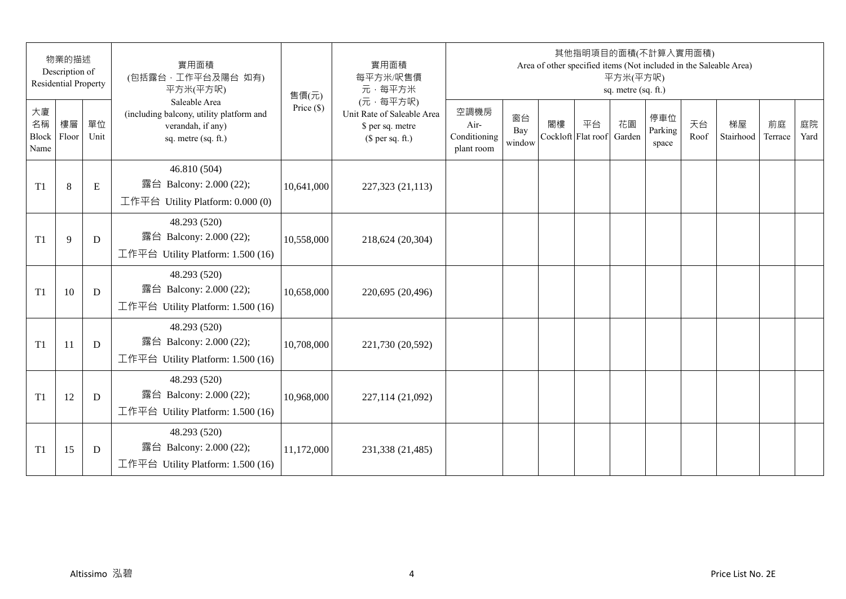|                           | 物業的描述<br>Description of<br><b>Residential Property</b> |            | 實用面積<br>(包括露台,工作平台及陽台 如有)<br>平方米(平方呎)                                                                 | 售價(元)        | 實用面積<br>每平方米/呎售價<br>元·每平方米                                                     |                                            |                     |    | 其他指明項目的面積(不計算入實用面積)      | 平方米(平方呎)<br>sq. metre (sq. ft.) |                         |            | Area of other specified items (Not included in the Saleable Area) |               |            |
|---------------------------|--------------------------------------------------------|------------|-------------------------------------------------------------------------------------------------------|--------------|--------------------------------------------------------------------------------|--------------------------------------------|---------------------|----|--------------------------|---------------------------------|-------------------------|------------|-------------------------------------------------------------------|---------------|------------|
| 大廈<br>名稱<br>Block<br>Name | 樓層<br>Floor                                            | 單位<br>Unit | Saleable Area<br>(including balcony, utility platform and<br>verandah, if any)<br>sq. metre (sq. ft.) | Price $(\$)$ | (元·每平方呎)<br>Unit Rate of Saleable Area<br>\$ per sq. metre<br>$$$ per sq. ft.) | 空調機房<br>Air-<br>Conditioning<br>plant room | 窗台<br>Bay<br>window | 閣樓 | 平台<br>Cockloft Flat roof | 花園<br>Garden                    | 停車位<br>Parking<br>space | 天台<br>Roof | 梯屋<br>Stairhood                                                   | 前庭<br>Terrace | 庭院<br>Yard |
| T <sub>1</sub>            | 8                                                      | E          | 46.810 (504)<br>露台 Balcony: 2.000 (22);<br>工作平台 Utility Platform: 0.000 (0)                           | 10,641,000   | 227,323 (21,113)                                                               |                                            |                     |    |                          |                                 |                         |            |                                                                   |               |            |
| T <sub>1</sub>            | 9                                                      | D          | 48.293 (520)<br>露台 Balcony: 2.000 (22);<br>工作平台 Utility Platform: 1.500 (16)                          | 10,558,000   | 218,624 (20,304)                                                               |                                            |                     |    |                          |                                 |                         |            |                                                                   |               |            |
| T <sub>1</sub>            | 10                                                     | D          | 48.293 (520)<br>露台 Balcony: 2.000 (22);<br>工作平台 Utility Platform: 1.500 (16)                          | 10,658,000   | 220,695 (20,496)                                                               |                                            |                     |    |                          |                                 |                         |            |                                                                   |               |            |
| T <sub>1</sub>            | 11                                                     | D          | 48.293 (520)<br>露台 Balcony: 2.000 (22);<br>工作平台 Utility Platform: 1.500 (16)                          | 10,708,000   | 221,730 (20,592)                                                               |                                            |                     |    |                          |                                 |                         |            |                                                                   |               |            |
| T1                        | 12                                                     | D          | 48.293 (520)<br>露台 Balcony: 2.000 (22);<br>工作平台 Utility Platform: 1.500 (16)                          | 10,968,000   | 227,114 (21,092)                                                               |                                            |                     |    |                          |                                 |                         |            |                                                                   |               |            |
| T <sub>1</sub>            | 15                                                     | D          | 48.293 (520)<br>露台 Balcony: 2.000 (22);<br>工作平台 Utility Platform: $1.500(16)$                         | 11,172,000   | 231,338 (21,485)                                                               |                                            |                     |    |                          |                                 |                         |            |                                                                   |               |            |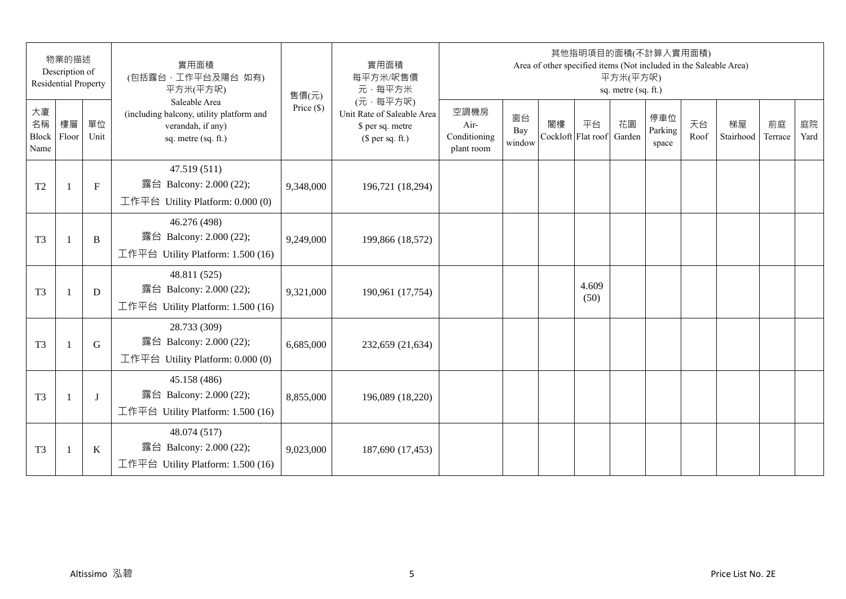|                           | 物業的描述<br>Description of<br><b>Residential Property</b> |              | 實用面積<br>(包括露台,工作平台及陽台 如有)<br>平方米(平方呎)                                                                 | 售價(元)        | 實用面積<br>每平方米/呎售價<br>元·每平方米                                                     |                                            |                     |    | 其他指明項目的面積(不計算入實用面積)<br>Area of other specified items (Not included in the Saleable Area) | 平方米(平方呎)<br>sq. metre (sq. ft.) |                         |            |                 |               |            |
|---------------------------|--------------------------------------------------------|--------------|-------------------------------------------------------------------------------------------------------|--------------|--------------------------------------------------------------------------------|--------------------------------------------|---------------------|----|------------------------------------------------------------------------------------------|---------------------------------|-------------------------|------------|-----------------|---------------|------------|
| 大廈<br>名稱<br>Block<br>Name | 樓層<br>Floor                                            | 單位<br>Unit   | Saleable Area<br>(including balcony, utility platform and<br>verandah, if any)<br>sq. metre (sq. ft.) | Price $(\$)$ | (元·每平方呎)<br>Unit Rate of Saleable Area<br>\$ per sq. metre<br>$$$ per sq. ft.) | 空調機房<br>Air-<br>Conditioning<br>plant room | 窗台<br>Bay<br>window | 閣樓 | 平台<br>Cockloft Flat roof                                                                 | 花園<br>Garden                    | 停車位<br>Parking<br>space | 天台<br>Roof | 梯屋<br>Stairhood | 前庭<br>Terrace | 庭院<br>Yard |
| T <sub>2</sub>            | $\mathbf{1}$                                           | $\mathbf{F}$ | 47.519 (511)<br>露台 Balcony: 2.000 (22);<br>工作平台 Utility Platform: 0.000 (0)                           | 9,348,000    | 196,721 (18,294)                                                               |                                            |                     |    |                                                                                          |                                 |                         |            |                 |               |            |
| T <sub>3</sub>            | $\overline{1}$                                         | B            | 46.276 (498)<br>露台 Balcony: 2.000 (22);<br>工作平台 Utility Platform: 1.500 (16)                          | 9,249,000    | 199,866 (18,572)                                                               |                                            |                     |    |                                                                                          |                                 |                         |            |                 |               |            |
| T <sub>3</sub>            | $\mathbf{1}$                                           | D            | 48.811 (525)<br>露台 Balcony: 2.000 (22);<br>工作平台 Utility Platform: 1.500 (16)                          | 9,321,000    | 190,961 (17,754)                                                               |                                            |                     |    | 4.609<br>(50)                                                                            |                                 |                         |            |                 |               |            |
| T <sub>3</sub>            | $\mathbf{1}$                                           | G            | 28.733 (309)<br>露台 Balcony: 2.000 (22);<br>工作平台 Utility Platform: 0.000 (0)                           | 6,685,000    | 232,659 (21,634)                                                               |                                            |                     |    |                                                                                          |                                 |                         |            |                 |               |            |
| T <sub>3</sub>            |                                                        | $\bf{J}$     | 45.158 (486)<br>露台 Balcony: 2.000 (22);<br>工作平台 Utility Platform: 1.500 (16)                          | 8,855,000    | 196,089 (18,220)                                                               |                                            |                     |    |                                                                                          |                                 |                         |            |                 |               |            |
| T <sub>3</sub>            | $\overline{1}$                                         | $\bf K$      | 48.074 (517)<br>露台 Balcony: 2.000 (22);<br>工作平台 Utility Platform: 1.500 (16)                          | 9,023,000    | 187,690 (17,453)                                                               |                                            |                     |    |                                                                                          |                                 |                         |            |                 |               |            |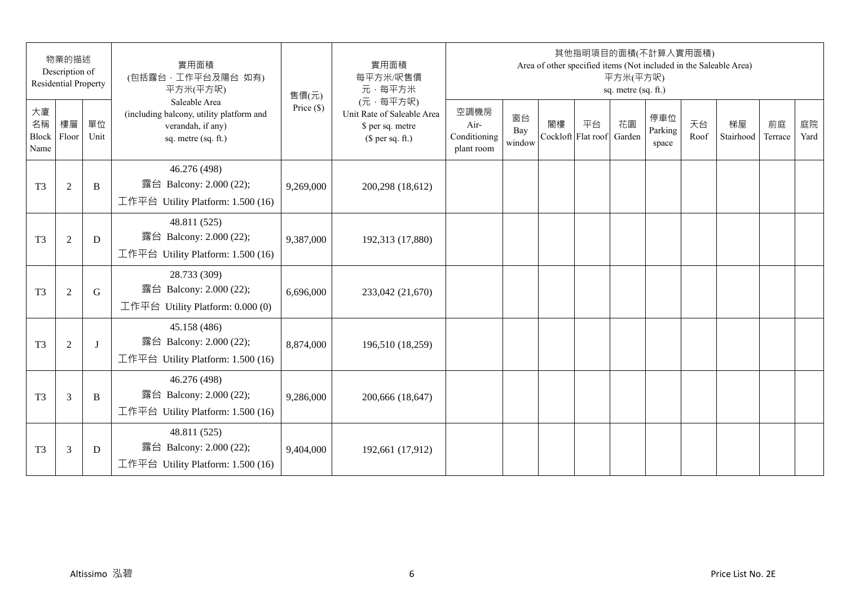|                           | 物業的描述<br>Description of<br><b>Residential Property</b> |              | 實用面積<br>(包括露台,工作平台及陽台 如有)<br>平方米(平方呎)                                                                 | 售價(元)        | 實用面積<br>每平方米/呎售價<br>元·每平方米                                                     |                                            |                     |    | 其他指明項目的面積(不計算入實用面積)      | 平方米(平方呎)<br>sq. metre (sq. ft.) |                         |            | Area of other specified items (Not included in the Saleable Area) |               |            |
|---------------------------|--------------------------------------------------------|--------------|-------------------------------------------------------------------------------------------------------|--------------|--------------------------------------------------------------------------------|--------------------------------------------|---------------------|----|--------------------------|---------------------------------|-------------------------|------------|-------------------------------------------------------------------|---------------|------------|
| 大廈<br>名稱<br>Block<br>Name | 樓層<br>Floor                                            | 單位<br>Unit   | Saleable Area<br>(including balcony, utility platform and<br>verandah, if any)<br>sq. metre (sq. ft.) | Price $(\$)$ | (元·每平方呎)<br>Unit Rate of Saleable Area<br>\$ per sq. metre<br>$$$ per sq. ft.) | 空調機房<br>Air-<br>Conditioning<br>plant room | 窗台<br>Bay<br>window | 閣樓 | 平台<br>Cockloft Flat roof | 花園<br>Garden                    | 停車位<br>Parking<br>space | 天台<br>Roof | 梯屋<br>Stairhood                                                   | 前庭<br>Terrace | 庭院<br>Yard |
| T <sub>3</sub>            | $\overline{2}$                                         | B            | 46.276 (498)<br>露台 Balcony: 2.000 (22);<br>工作平台 Utility Platform: 1.500 (16)                          | 9,269,000    | 200,298 (18,612)                                                               |                                            |                     |    |                          |                                 |                         |            |                                                                   |               |            |
| T <sub>3</sub>            | $\overline{2}$                                         | D            | 48.811 (525)<br>露台 Balcony: 2.000 (22);<br>工作平台 Utility Platform: 1.500 (16)                          | 9,387,000    | 192,313 (17,880)                                                               |                                            |                     |    |                          |                                 |                         |            |                                                                   |               |            |
| T <sub>3</sub>            | $\overline{2}$                                         | G            | 28.733 (309)<br>露台 Balcony: 2.000 (22);<br>工作平台 Utility Platform: $0.000(0)$                          | 6,696,000    | 233,042 (21,670)                                                               |                                            |                     |    |                          |                                 |                         |            |                                                                   |               |            |
| T <sub>3</sub>            | $\overline{2}$                                         | $\mathbf{I}$ | 45.158 (486)<br>露台 Balcony: 2.000 (22);<br>工作平台 Utility Platform: 1.500 (16)                          | 8,874,000    | 196,510 (18,259)                                                               |                                            |                     |    |                          |                                 |                         |            |                                                                   |               |            |
| T <sub>3</sub>            | 3                                                      | B            | 46.276 (498)<br>露台 Balcony: 2.000 (22);<br>工作平台 Utility Platform: 1.500 (16)                          | 9,286,000    | 200,666 (18,647)                                                               |                                            |                     |    |                          |                                 |                         |            |                                                                   |               |            |
| T <sub>3</sub>            | 3                                                      | D            | 48.811 (525)<br>露台 Balcony: 2.000 (22);<br>工作平台 Utility Platform: $1.500(16)$                         | 9,404,000    | 192,661 (17,912)                                                               |                                            |                     |    |                          |                                 |                         |            |                                                                   |               |            |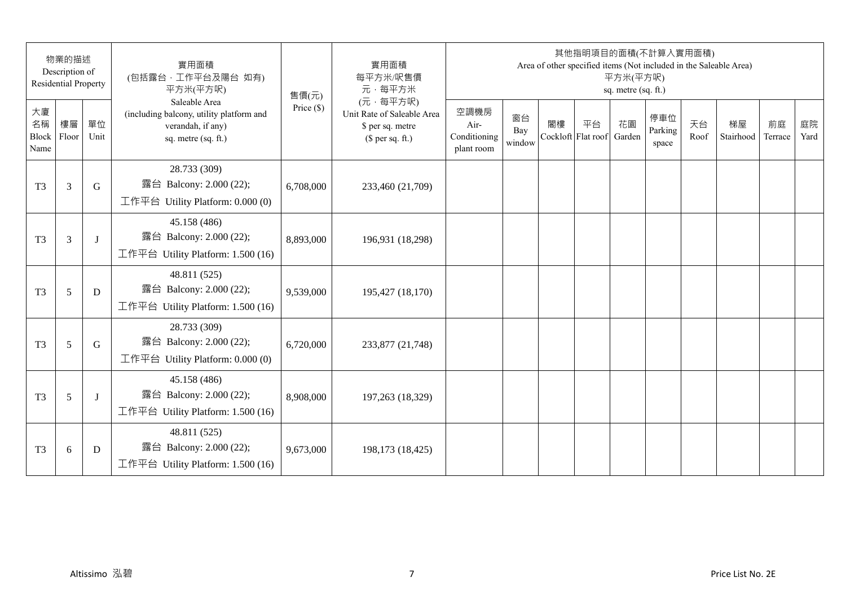|                           | 物業的描述<br>Description of<br><b>Residential Property</b> |            | 實用面積<br>(包括露台,工作平台及陽台 如有)<br>平方米(平方呎)                                                                 | 售價(元)        | 實用面積<br>每平方米/呎售價<br>元·每平方米                                                     |                                            |                     |    | 其他指明項目的面積(不計算入實用面積)      | 平方米(平方呎)<br>sq. metre (sq. ft.) |                         |            | Area of other specified items (Not included in the Saleable Area) |               |            |
|---------------------------|--------------------------------------------------------|------------|-------------------------------------------------------------------------------------------------------|--------------|--------------------------------------------------------------------------------|--------------------------------------------|---------------------|----|--------------------------|---------------------------------|-------------------------|------------|-------------------------------------------------------------------|---------------|------------|
| 大廈<br>名稱<br>Block<br>Name | 樓層<br>Floor                                            | 單位<br>Unit | Saleable Area<br>(including balcony, utility platform and<br>verandah, if any)<br>sq. metre (sq. ft.) | Price $(\$)$ | (元·每平方呎)<br>Unit Rate of Saleable Area<br>\$ per sq. metre<br>$$$ per sq. ft.) | 空調機房<br>Air-<br>Conditioning<br>plant room | 窗台<br>Bay<br>window | 閣樓 | 平台<br>Cockloft Flat roof | 花園<br>Garden                    | 停車位<br>Parking<br>space | 天台<br>Roof | 梯屋<br>Stairhood                                                   | 前庭<br>Terrace | 庭院<br>Yard |
| T <sub>3</sub>            | 3                                                      | G          | 28.733 (309)<br>露台 Balcony: 2.000 (22);<br>工作平台 Utility Platform: 0.000 (0)                           | 6,708,000    | 233,460 (21,709)                                                               |                                            |                     |    |                          |                                 |                         |            |                                                                   |               |            |
| T <sub>3</sub>            | $\overline{3}$                                         | J          | 45.158 (486)<br>露台 Balcony: 2.000 (22);<br>工作平台 Utility Platform: 1.500 (16)                          | 8,893,000    | 196,931 (18,298)                                                               |                                            |                     |    |                          |                                 |                         |            |                                                                   |               |            |
| T <sub>3</sub>            | 5                                                      | D          | 48.811 (525)<br>露台 Balcony: 2.000 (22);<br>工作平台 Utility Platform: 1.500 (16)                          | 9,539,000    | 195,427 (18,170)                                                               |                                            |                     |    |                          |                                 |                         |            |                                                                   |               |            |
| T <sub>3</sub>            | 5                                                      | G          | 28.733 (309)<br>露台 Balcony: 2.000 (22);<br>工作平台 Utility Platform: 0.000 (0)                           | 6,720,000    | 233,877 (21,748)                                                               |                                            |                     |    |                          |                                 |                         |            |                                                                   |               |            |
| T <sub>3</sub>            | 5                                                      | J          | 45.158 (486)<br>露台 Balcony: 2.000 (22);<br>工作平台 Utility Platform: 1.500 (16)                          | 8,908,000    | 197,263 (18,329)                                                               |                                            |                     |    |                          |                                 |                         |            |                                                                   |               |            |
| T <sub>3</sub>            | 6                                                      | D          | 48.811 (525)<br>露台 Balcony: 2.000 (22);<br>工作平台 Utility Platform: $1.500(16)$                         | 9,673,000    | 198,173 (18,425)                                                               |                                            |                     |    |                          |                                 |                         |            |                                                                   |               |            |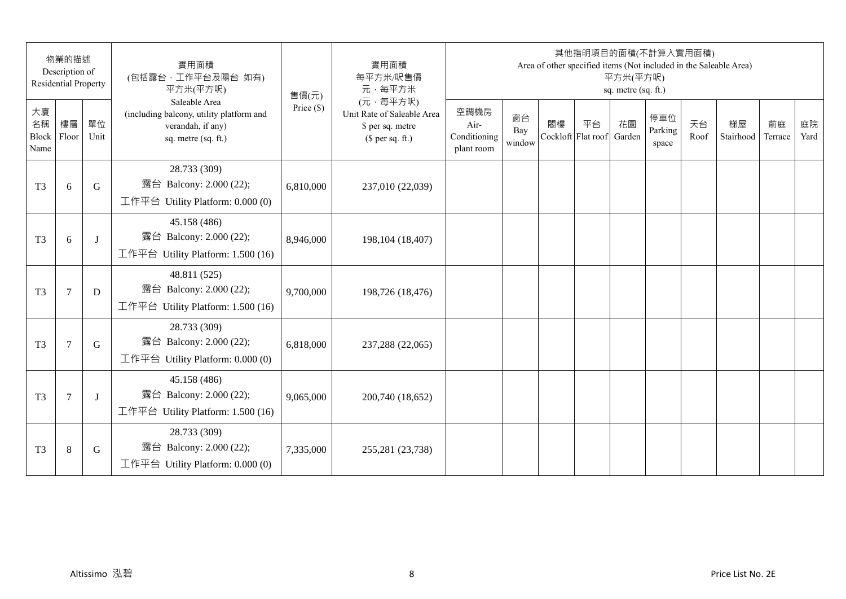|                           | 物業的描述<br>Description of<br><b>Residential Property</b> |            | 實用面積<br>(包括露台,工作平台及陽台 如有)<br>平方米(平方呎)                                                                 | 售價(元)        | 實用面積<br>每平方米/呎售價<br>元·每平方米                                                     |                                            |                     |    | 其他指明項目的面積(不計算入實用面積)      | 平方米(平方呎)<br>sq. metre (sq. ft.) |                         |            | Area of other specified items (Not included in the Saleable Area) |               |            |
|---------------------------|--------------------------------------------------------|------------|-------------------------------------------------------------------------------------------------------|--------------|--------------------------------------------------------------------------------|--------------------------------------------|---------------------|----|--------------------------|---------------------------------|-------------------------|------------|-------------------------------------------------------------------|---------------|------------|
| 大廈<br>名稱<br>Block<br>Name | 樓層<br>Floor                                            | 單位<br>Unit | Saleable Area<br>(including balcony, utility platform and<br>verandah, if any)<br>sq. metre (sq. ft.) | Price $(\$)$ | (元·每平方呎)<br>Unit Rate of Saleable Area<br>\$ per sq. metre<br>$$$ per sq. ft.) | 空調機房<br>Air-<br>Conditioning<br>plant room | 窗台<br>Bay<br>window | 閣樓 | 平台<br>Cockloft Flat roof | 花園<br>Garden                    | 停車位<br>Parking<br>space | 天台<br>Roof | 梯屋<br>Stairhood                                                   | 前庭<br>Terrace | 庭院<br>Yard |
| T <sub>3</sub>            | 6                                                      | G          | 28.733 (309)<br>露台 Balcony: 2.000 (22);<br>工作平台 Utility Platform: $0.000(0)$                          | 6,810,000    | 237,010 (22,039)                                                               |                                            |                     |    |                          |                                 |                         |            |                                                                   |               |            |
| T <sub>3</sub>            | 6                                                      | J          | 45.158 (486)<br>露台 Balcony: 2.000 (22);<br>工作平台 Utility Platform: 1.500 (16)                          | 8,946,000    | 198,104 (18,407)                                                               |                                            |                     |    |                          |                                 |                         |            |                                                                   |               |            |
| T <sub>3</sub>            | $\tau$                                                 | D          | 48.811 (525)<br>露台 Balcony: 2.000 (22);<br>工作平台 Utility Platform: 1.500 (16)                          | 9,700,000    | 198,726 (18,476)                                                               |                                            |                     |    |                          |                                 |                         |            |                                                                   |               |            |
| T <sub>3</sub>            | $\tau$                                                 | G          | 28.733 (309)<br>露台 Balcony: 2.000 (22);<br>工作平台 Utility Platform: $0.000(0)$                          | 6,818,000    | 237,288 (22,065)                                                               |                                            |                     |    |                          |                                 |                         |            |                                                                   |               |            |
| T <sub>3</sub>            | $\overline{7}$                                         | J          | 45.158 (486)<br>露台 Balcony: 2.000 (22);<br>工作平台 Utility Platform: 1.500 (16)                          | 9,065,000    | 200,740 (18,652)                                                               |                                            |                     |    |                          |                                 |                         |            |                                                                   |               |            |
| T <sub>3</sub>            | 8                                                      | G          | 28.733 (309)<br>露台 Balcony: 2.000 (22);<br>工作平台 Utility Platform: $0.000(0)$                          | 7,335,000    | 255,281 (23,738)                                                               |                                            |                     |    |                          |                                 |                         |            |                                                                   |               |            |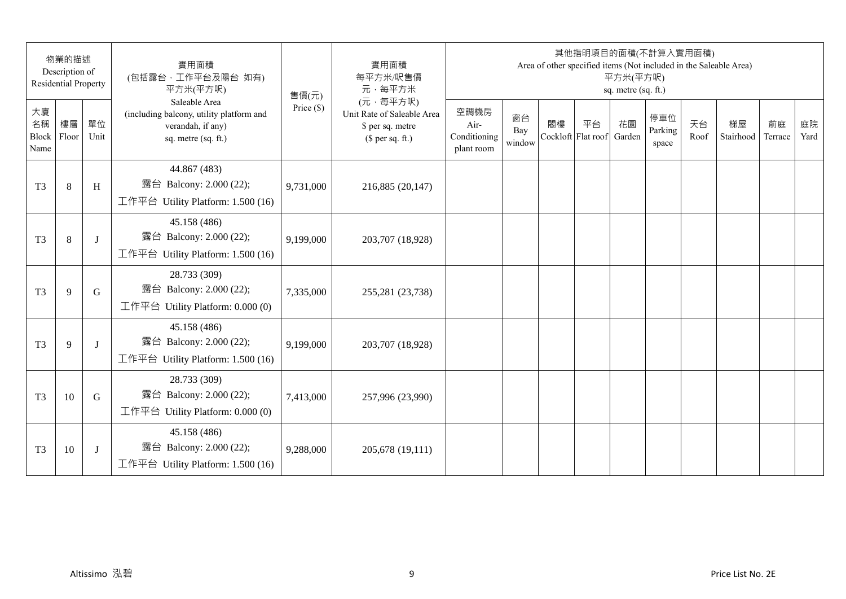|                           | 物業的描述<br>Description of<br><b>Residential Property</b> |              | 實用面積<br>(包括露台,工作平台及陽台 如有)<br>平方米(平方呎)                                                                 | 售價(元)        | 實用面積<br>每平方米/呎售價<br>元·每平方米                                                     |                                            |                     |    | 其他指明項目的面積(不計算入實用面積)      | 平方米(平方呎)<br>sq. metre (sq. ft.) |                         |            | Area of other specified items (Not included in the Saleable Area) |               |            |
|---------------------------|--------------------------------------------------------|--------------|-------------------------------------------------------------------------------------------------------|--------------|--------------------------------------------------------------------------------|--------------------------------------------|---------------------|----|--------------------------|---------------------------------|-------------------------|------------|-------------------------------------------------------------------|---------------|------------|
| 大廈<br>名稱<br>Block<br>Name | 樓層<br>Floor                                            | 單位<br>Unit   | Saleable Area<br>(including balcony, utility platform and<br>verandah, if any)<br>sq. metre (sq. ft.) | Price $(\$)$ | (元·每平方呎)<br>Unit Rate of Saleable Area<br>\$ per sq. metre<br>$$$ per sq. ft.) | 空調機房<br>Air-<br>Conditioning<br>plant room | 窗台<br>Bay<br>window | 閣樓 | 平台<br>Cockloft Flat roof | 花園<br>Garden                    | 停車位<br>Parking<br>space | 天台<br>Roof | 梯屋<br>Stairhood                                                   | 前庭<br>Terrace | 庭院<br>Yard |
| T <sub>3</sub>            | 8                                                      | H            | 44.867 (483)<br>露台 Balcony: 2.000 (22);<br>工作平台 Utility Platform: 1.500 (16)                          | 9,731,000    | 216,885 (20,147)                                                               |                                            |                     |    |                          |                                 |                         |            |                                                                   |               |            |
| T <sub>3</sub>            | 8                                                      | J            | 45.158 (486)<br>露台 Balcony: 2.000 (22);<br>工作平台 Utility Platform: 1.500 (16)                          | 9,199,000    | 203,707 (18,928)                                                               |                                            |                     |    |                          |                                 |                         |            |                                                                   |               |            |
| T <sub>3</sub>            | 9                                                      | G            | 28.733 (309)<br>露台 Balcony: 2.000 (22);<br>工作平台 Utility Platform: $0.000(0)$                          | 7,335,000    | 255,281 (23,738)                                                               |                                            |                     |    |                          |                                 |                         |            |                                                                   |               |            |
| T <sub>3</sub>            | 9                                                      | $\mathbf{I}$ | 45.158 (486)<br>露台 Balcony: 2.000 (22);<br>工作平台 Utility Platform: 1.500 (16)                          | 9,199,000    | 203,707 (18,928)                                                               |                                            |                     |    |                          |                                 |                         |            |                                                                   |               |            |
| T <sub>3</sub>            | 10                                                     | G            | 28.733 (309)<br>露台 Balcony: 2.000 (22);<br>工作平台 Utility Platform: $0.000(0)$                          | 7,413,000    | 257,996 (23,990)                                                               |                                            |                     |    |                          |                                 |                         |            |                                                                   |               |            |
| T <sub>3</sub>            | 10                                                     | J            | 45.158 (486)<br>露台 Balcony: 2.000 (22);<br>工作平台 Utility Platform: $1.500(16)$                         | 9,288,000    | 205,678 (19,111)                                                               |                                            |                     |    |                          |                                 |                         |            |                                                                   |               |            |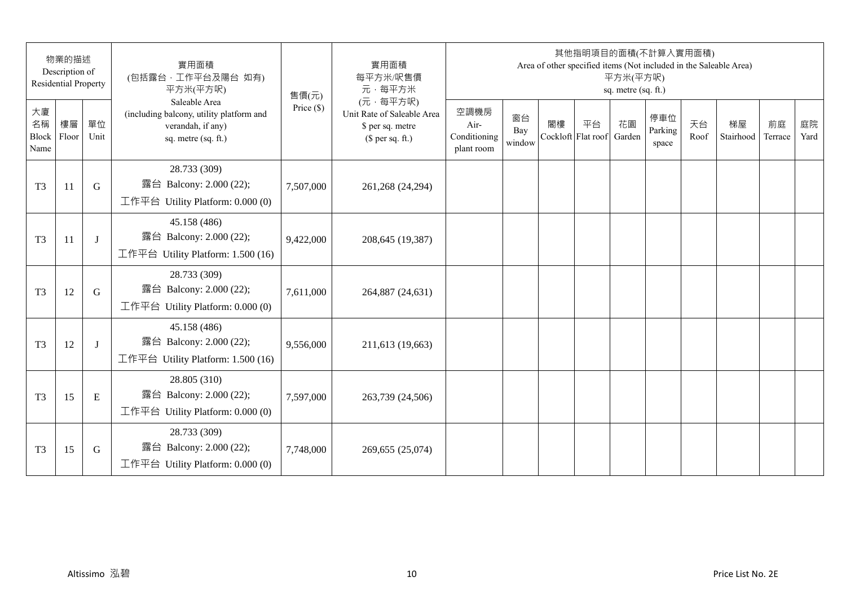|                           | 物業的描述<br>Description of<br><b>Residential Property</b> |            | 實用面積<br>(包括露台,工作平台及陽台 如有)<br>平方米(平方呎)                                                                 | 售價(元)        | 實用面積<br>每平方米/呎售價<br>元·每平方米                                                     |                                            |                     |    | 其他指明項目的面積(不計算入實用面積)      | 平方米(平方呎)<br>sq. metre (sq. ft.) |                         |            | Area of other specified items (Not included in the Saleable Area) |               |            |
|---------------------------|--------------------------------------------------------|------------|-------------------------------------------------------------------------------------------------------|--------------|--------------------------------------------------------------------------------|--------------------------------------------|---------------------|----|--------------------------|---------------------------------|-------------------------|------------|-------------------------------------------------------------------|---------------|------------|
| 大廈<br>名稱<br>Block<br>Name | 樓層<br>Floor                                            | 單位<br>Unit | Saleable Area<br>(including balcony, utility platform and<br>verandah, if any)<br>sq. metre (sq. ft.) | Price $(\$)$ | (元·每平方呎)<br>Unit Rate of Saleable Area<br>\$ per sq. metre<br>$$$ per sq. ft.) | 空調機房<br>Air-<br>Conditioning<br>plant room | 窗台<br>Bay<br>window | 閣樓 | 平台<br>Cockloft Flat roof | 花園<br>Garden                    | 停車位<br>Parking<br>space | 天台<br>Roof | 梯屋<br>Stairhood                                                   | 前庭<br>Terrace | 庭院<br>Yard |
| T <sub>3</sub>            | 11                                                     | G          | 28.733 (309)<br>露台 Balcony: 2.000 (22);<br>工作平台 Utility Platform: 0.000 (0)                           | 7,507,000    | 261,268 (24,294)                                                               |                                            |                     |    |                          |                                 |                         |            |                                                                   |               |            |
| T <sub>3</sub>            | 11                                                     | J          | 45.158 (486)<br>露台 Balcony: 2.000 (22);<br>工作平台 Utility Platform: 1.500 (16)                          | 9,422,000    | 208,645 (19,387)                                                               |                                            |                     |    |                          |                                 |                         |            |                                                                   |               |            |
| T <sub>3</sub>            | 12                                                     | G          | 28.733 (309)<br>露台 Balcony: 2.000 (22);<br>工作平台 Utility Platform: $0.000(0)$                          | 7,611,000    | 264,887 (24,631)                                                               |                                            |                     |    |                          |                                 |                         |            |                                                                   |               |            |
| T <sub>3</sub>            | 12                                                     | J          | 45.158 (486)<br>露台 Balcony: 2.000 (22);<br>工作平台 Utility Platform: 1.500 (16)                          | 9,556,000    | 211,613 (19,663)                                                               |                                            |                     |    |                          |                                 |                         |            |                                                                   |               |            |
| T <sub>3</sub>            | 15                                                     | E          | 28.805 (310)<br>露台 Balcony: 2.000 (22);<br>工作平台 Utility Platform: $0.000(0)$                          | 7,597,000    | 263,739 (24,506)                                                               |                                            |                     |    |                          |                                 |                         |            |                                                                   |               |            |
| T <sub>3</sub>            | 15                                                     | G          | 28.733 (309)<br>露台 Balcony: 2.000 (22);<br>工作平台 Utility Platform: $0.000(0)$                          | 7,748,000    | 269,655 (25,074)                                                               |                                            |                     |    |                          |                                 |                         |            |                                                                   |               |            |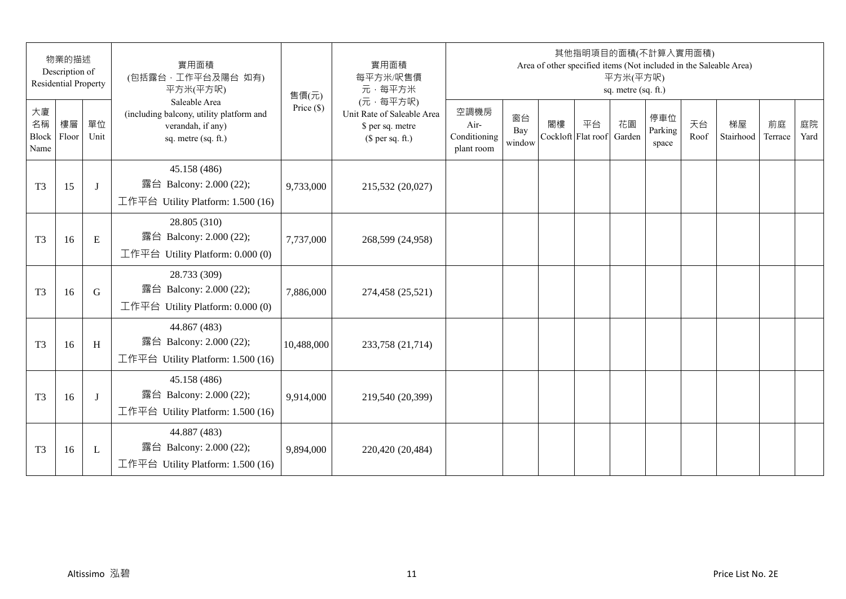| 物業的描述<br>Description of<br><b>Residential Property</b> |             | 實用面積<br>(包括露台,工作平台及陽台 如有)<br>平方米(平方呎) | 售價(元)                                                                                                 | 實用面積<br>每平方米/呎售價<br>元·每平方米 | 其他指明項目的面積(不計算入實用面積)<br>Area of other specified items (Not included in the Saleable Area)<br>平方米(平方呎)<br>sq. metre (sq. ft.) |                                            |                     |    |                          |              |                         |            |                 |               |            |
|--------------------------------------------------------|-------------|---------------------------------------|-------------------------------------------------------------------------------------------------------|----------------------------|-----------------------------------------------------------------------------------------------------------------------------|--------------------------------------------|---------------------|----|--------------------------|--------------|-------------------------|------------|-----------------|---------------|------------|
| 大廈<br>名稱<br>Block<br>Name                              | 樓層<br>Floor | 單位<br>Unit                            | Saleable Area<br>(including balcony, utility platform and<br>verandah, if any)<br>sq. metre (sq. ft.) | Price $(\$)$               | (元·每平方呎)<br>Unit Rate of Saleable Area<br>\$ per sq. metre<br>$$$ per sq. ft.)                                              | 空調機房<br>Air-<br>Conditioning<br>plant room | 窗台<br>Bay<br>window | 閣樓 | 平台<br>Cockloft Flat roof | 花園<br>Garden | 停車位<br>Parking<br>space | 天台<br>Roof | 梯屋<br>Stairhood | 前庭<br>Terrace | 庭院<br>Yard |
| T <sub>3</sub>                                         | 15          | J                                     | 45.158 (486)<br>露台 Balcony: 2.000 (22);<br>工作平台 Utility Platform: 1.500 (16)                          | 9,733,000                  | 215,532 (20,027)                                                                                                            |                                            |                     |    |                          |              |                         |            |                 |               |            |
| T <sub>3</sub>                                         | 16          | E                                     | 28.805 (310)<br>露台 Balcony: 2.000 (22);<br>工作平台 Utility Platform: 0.000 (0)                           | 7,737,000                  | 268,599 (24,958)                                                                                                            |                                            |                     |    |                          |              |                         |            |                 |               |            |
| T <sub>3</sub>                                         | 16          | G                                     | 28.733 (309)<br>露台 Balcony: 2.000 (22);<br>工作平台 Utility Platform: $0.000(0)$                          | 7,886,000                  | 274,458 (25,521)                                                                                                            |                                            |                     |    |                          |              |                         |            |                 |               |            |
| T <sub>3</sub>                                         | 16          | H                                     | 44.867 (483)<br>露台 Balcony: 2.000 (22);<br>工作平台 Utility Platform: 1.500 (16)                          | 10,488,000                 | 233,758 (21,714)                                                                                                            |                                            |                     |    |                          |              |                         |            |                 |               |            |
| T <sub>3</sub>                                         | 16          | J                                     | 45.158 (486)<br>露台 Balcony: 2.000 (22);<br>工作平台 Utility Platform: 1.500 (16)                          | 9,914,000                  | 219,540 (20,399)                                                                                                            |                                            |                     |    |                          |              |                         |            |                 |               |            |
| T <sub>3</sub>                                         | 16          | L                                     | 44.887 (483)<br>露台 Balcony: 2.000 (22);<br>工作平台 Utility Platform: $1.500(16)$                         | 9,894,000                  | 220,420 (20,484)                                                                                                            |                                            |                     |    |                          |              |                         |            |                 |               |            |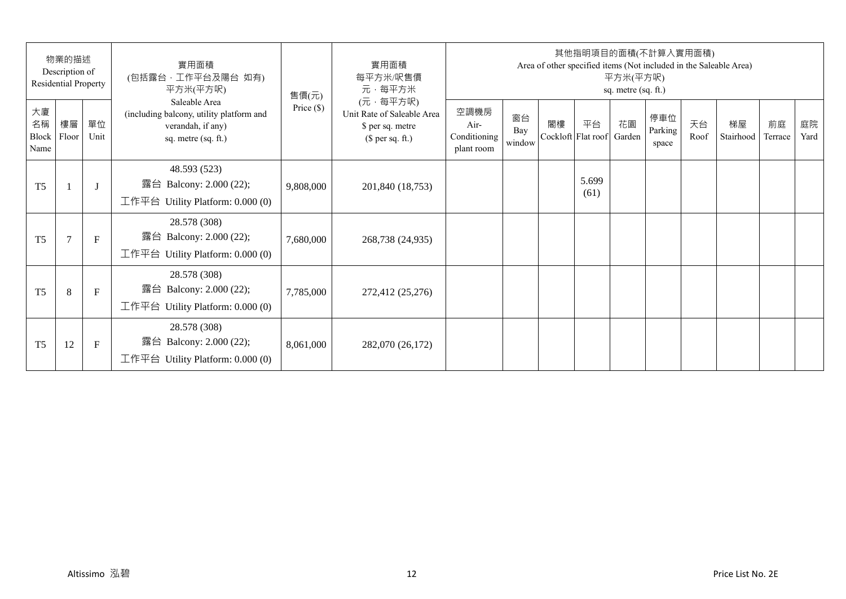| 物業的描述<br>Description of<br><b>Residential Property</b> |                |              | 實用面積<br>(包括露台,工作平台及陽台 如有)<br>平方米(平方呎)                                                                 | 售價(元)        | 實用面積<br>每平方米/呎售價<br>元·每平方米                                                     | 其他指明項目的面積(不計算入實用面積)<br>Area of other specified items (Not included in the Saleable Area)<br>平方米(平方呎)<br>sq. metre (sq. ft.) |                     |                          |               |              |                         |            |                 |               |            |  |
|--------------------------------------------------------|----------------|--------------|-------------------------------------------------------------------------------------------------------|--------------|--------------------------------------------------------------------------------|-----------------------------------------------------------------------------------------------------------------------------|---------------------|--------------------------|---------------|--------------|-------------------------|------------|-----------------|---------------|------------|--|
| 大廈<br>名稱<br>Block<br>Name                              | 樓層<br>Floor    | 單位<br>Unit   | Saleable Area<br>(including balcony, utility platform and<br>verandah, if any)<br>sq. metre (sq. ft.) | Price $(\$)$ | (元·每平方呎)<br>Unit Rate of Saleable Area<br>\$ per sq. metre<br>$$$ per sq. ft.) | 空調機房<br>Air-<br>Conditioning<br>plant room                                                                                  | 窗台<br>Bay<br>window | 閣樓<br>Cockloft Flat roof | 平台            | 花園<br>Garden | 停車位<br>Parking<br>space | 天台<br>Roof | 梯屋<br>Stairhood | 前庭<br>Terrace | 庭院<br>Yard |  |
| T <sub>5</sub>                                         |                | $\lceil$     | 48.593 (523)<br>露台 Balcony: 2.000 (22);<br>工作平台 Utility Platform: $0.000(0)$                          | 9,808,000    | 201,840 (18,753)                                                               |                                                                                                                             |                     |                          | 5.699<br>(61) |              |                         |            |                 |               |            |  |
| T <sub>5</sub>                                         | $\overline{7}$ | $\mathbf{F}$ | 28.578 (308)<br>露台 Balcony: 2.000 (22);<br>工作平台 Utility Platform: 0.000 (0)                           | 7,680,000    | 268,738 (24,935)                                                               |                                                                                                                             |                     |                          |               |              |                         |            |                 |               |            |  |
| T <sub>5</sub>                                         | 8              | $\mathbf{F}$ | 28.578 (308)<br>露台 Balcony: 2.000 (22);<br>工作平台 Utility Platform: $0.000(0)$                          | 7,785,000    | 272,412 (25,276)                                                               |                                                                                                                             |                     |                          |               |              |                         |            |                 |               |            |  |
| T <sub>5</sub>                                         | 12             | $\mathbf F$  | 28.578 (308)<br>露台 Balcony: 2.000 (22);<br>工作平台 Utility Platform: $0.000(0)$                          | 8,061,000    | 282,070 (26,172)                                                               |                                                                                                                             |                     |                          |               |              |                         |            |                 |               |            |  |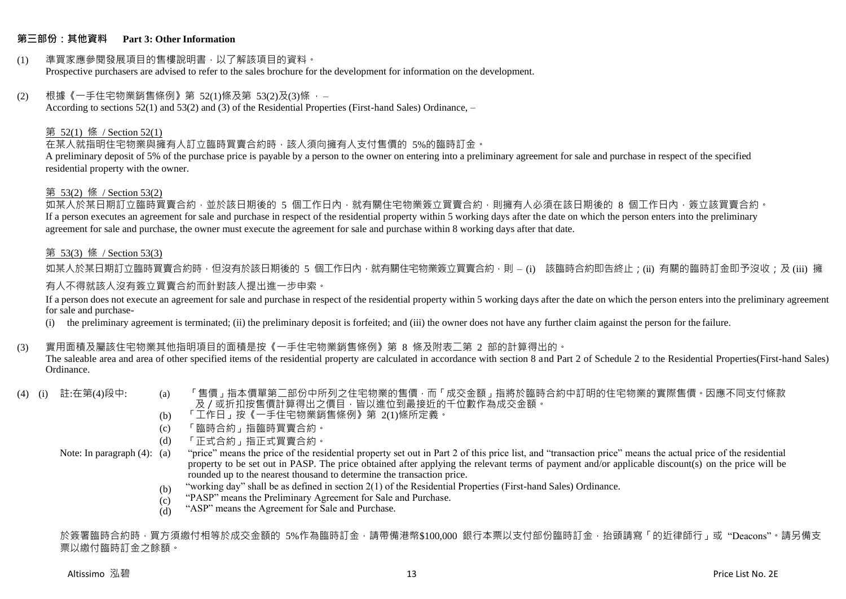#### **第三部份:其他資料 Part 3: Other Information**

#### (1) 準買家應參閱發展項目的售樓說明書,以了解該項目的資料。 Prospective purchasers are advised to refer to the sales brochure for the development for information on the development.

#### $(2)$  根據《一手住宅物業銷售條例》第 52(1)條及第 53(2)及(3)條,

According to sections 52(1) and 53(2) and (3) of the Residential Properties (First-hand Sales) Ordinance, –

#### 第 52(1) 條 / Section 52(1)

在某人就指明住宅物業與擁有人訂立臨時買賣合約時,該人須向擁有人支付售價的 5%的臨時訂金。

A preliminary deposit of 5% of the purchase price is payable by a person to the owner on entering into a preliminary agreement for sale and purchase in respect of the specified residential property with the owner.

#### 第 53(2) 條 / Section 53(2)

如某人於某日期訂立臨時買賣合約,並於該日期後的 5 個工作日內,就有關住宅物業簽立買賣合約,則擁有人必須在該日期後的 8 個工作日內,簽立該買賣合約。 If a person executes an agreement for sale and purchase in respect of the residential property within 5 working days after the date on which the person enters into the preliminary agreement for sale and purchase, the owner must execute the agreement for sale and purchase within 8 working days after that date.

#### 第 53(3) 條 / Section 53(3)

如某人於某日期訂立臨時買賣合約時,但沒有於該日期後的 5 個工作日內,就有關住宅物業簽立買賣合約,則 – (i) 該臨時合約即告終止;(ii) 有關的臨時訂金即予沒收;及 (iii) 擁 有人不得就該人沒有簽立買賣合約而針對該人提出進一步申索。

If a person does not execute an agreement for sale and purchase in respect of the residential property within 5 working days after the date on which the person enters into the preliminary agreement for sale and purchase-

(i) the preliminary agreement is terminated; (ii) the preliminary deposit is forfeited; and (iii) the owner does not have any further claim against the person for the failure.

#### (3) 實用面積及屬該住宅物業其他指明項目的面積是按《一手住宅物業銷售條例》第 8 條及附表二第 2 部的計算得出的。

The saleable area and area of other specified items of the residential property are calculated in accordance with section 8 and Part 2 of Schedule 2 to the Residential Properties(First-hand Sales) Ordinance.

- 
- (4) (i) 註:在第(4)段中: (a) 「售價」指本價單第二部份中所列之住宅物業的售價,而「成交金額」指將於臨時合約中訂明的住宅物業的實際售價。因應不同支付條款 及/或折扣按售價計算得出之價目,皆以進位到最接近的千位數作為成交金額。
	- (b) 「工作日」按《一手住宅物業銷售條例》第 2(1)條所定義。
	- (c) 「臨時合約」指臨時買賣合約。
	- (d) 「正式合約」指正式買賣合約。

Note: In paragraph (4): (a)

- "price" means the price of the residential property set out in Part 2 of this price list, and "transaction price" means the actual price of the residential property to be set out in PASP. The price obtained after applying the relevant terms of payment and/or applicable discount(s) on the price will be rounded up to the nearest thousand to determine the transaction price.
	- (b) "working day" shall be as defined in section 2(1) of the Residential Properties (First-hand Sales) Ordinance.
	- $(c)$ "PASP" means the Preliminary Agreement for Sale and Purchase.
	- (d) "ASP" means the Agreement for Sale and Purchase.

於簽署臨時合約時,買方須繳付相等於成交金額的 5%作為臨時訂金,請帶備港幣\$100,000 銀行本票以支付部份臨時訂金,抬頭請寫「的近律師行」或"Deacons"。請另備支 票以繳付臨時訂金之餘額。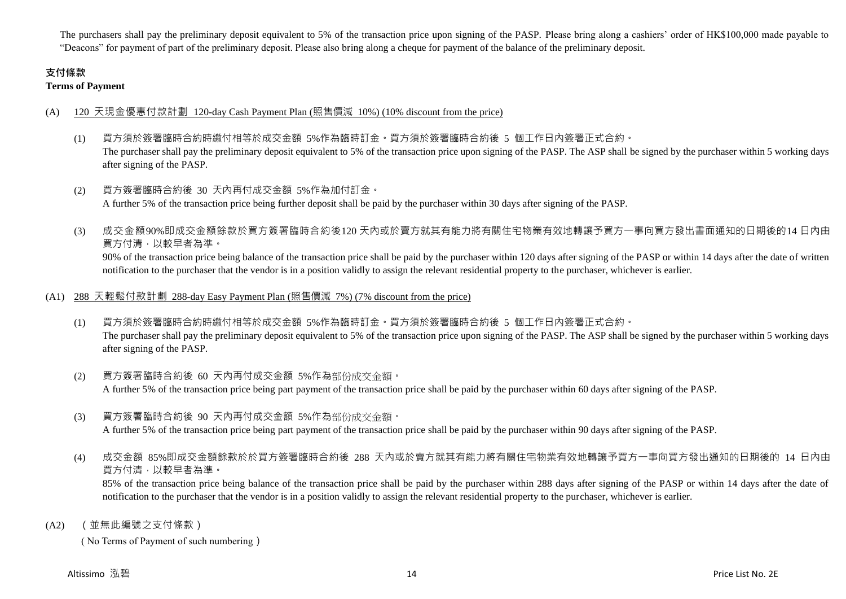The purchasers shall pay the preliminary deposit equivalent to 5% of the transaction price upon signing of the PASP. Please bring along a cashiers' order of HK\$100,000 made payable to "Deacons" for payment of part of the preliminary deposit. Please also bring along a cheque for payment of the balance of the preliminary deposit.

# **支付條款**

**Terms of Payment**

## (A) 120 天現金優惠付款計劃 120-day Cash Payment Plan (照售價減 10%) (10% discount from the price)

- (1) 買方須於簽署臨時合約時繳付相等於成交金額 5%作為臨時訂金。買方須於簽署臨時合約後 5 個工作日內簽署正式合約。 The purchaser shall pay the preliminary deposit equivalent to 5% of the transaction price upon signing of the PASP. The ASP shall be signed by the purchaser within 5 working days after signing of the PASP.
- (2) 買方簽署臨時合約後 30 天內再付成交金額 5%作為加付訂金。 A further 5% of the transaction price being further deposit shall be paid by the purchaser within 30 days after signing of the PASP.
- (3) 成交金額90%即成交金額餘款於買方簽署臨時合約後120 天內或於賣方就其有能力將有關住宅物業有效地轉讓予買方一事向買方發出書面通知的日期後的14 日內由 買方付清,以較早者為準。

90% of the transaction price being balance of the transaction price shall be paid by the purchaser within 120 days after signing of the PASP or within 14 days after the date of written notification to the purchaser that the vendor is in a position validly to assign the relevant residential property to the purchaser, whichever is earlier.

## (A1) 288 天輕鬆付款計劃 288-day Easy Payment Plan (照售價減 7%) (7% discount from the price)

- (1) 買方須於簽署臨時合約時繳付相等於成交金額 5%作為臨時訂金。買方須於簽署臨時合約後 5 個工作日內簽署正式合約。 The purchaser shall pay the preliminary deposit equivalent to 5% of the transaction price upon signing of the PASP. The ASP shall be signed by the purchaser within 5 working days after signing of the PASP.
- (2) 買方簽署臨時合約後 60 天內再付成交金額 5%作為部份成交金額。 A further 5% of the transaction price being part payment of the transaction price shall be paid by the purchaser within 60 days after signing of the PASP.
- (3) 買方簽署臨時合約後 90 天內再付成交金額 5%作為部份成交金額。

A further 5% of the transaction price being part payment of the transaction price shall be paid by the purchaser within 90 days after signing of the PASP.

(4) 成交金額 85%即成交金額餘款於於買方簽署臨時合約後 288 天內或於賣方就其有能力將有關住宅物業有效地轉讓予買方一事向買方發出通知的日期後的 14 日內由 買方付清,以較早者為準。

85% of the transaction price being balance of the transaction price shall be paid by the purchaser within 288 days after signing of the PASP or within 14 days after the date of notification to the purchaser that the vendor is in a position validly to assign the relevant residential property to the purchaser, whichever is earlier.

(A2) (並無此編號之支付條款)

( No Terms of Payment of such numbering)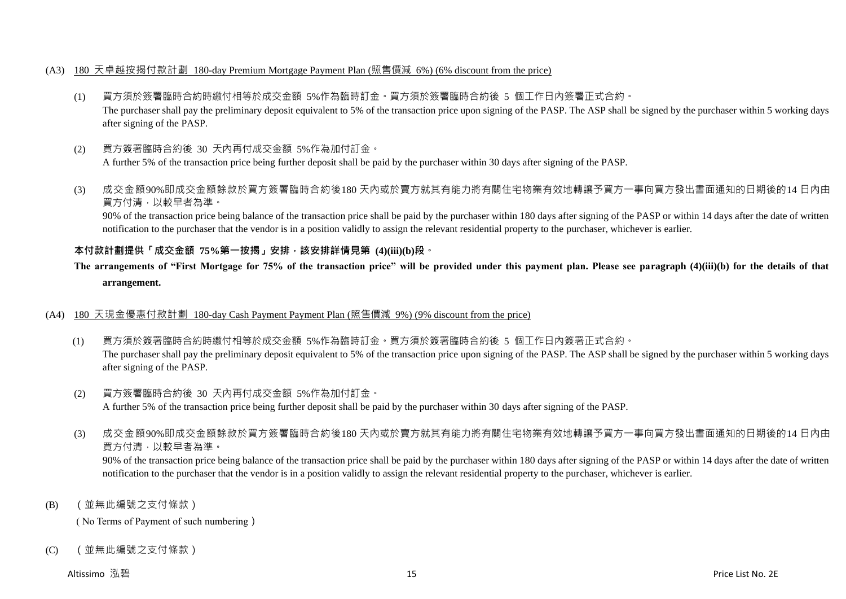#### (A3) 180 天卓越按揭付款計劃 180-day Premium Mortgage Payment Plan (照售價減 6%) (6% discount from the price)

- (1) 買方須於簽署臨時合約時繳付相等於成交金額 5%作為臨時訂金。買方須於簽署臨時合約後 5 個工作日內簽署正式合約。 The purchaser shall pay the preliminary deposit equivalent to 5% of the transaction price upon signing of the PASP. The ASP shall be signed by the purchaser within 5 working days after signing of the PASP.
- (2) 買方簽署臨時合約後 30 天內再付成交金額 5%作為加付訂金。 A further 5% of the transaction price being further deposit shall be paid by the purchaser within 30 days after signing of the PASP.
- (3) 成交金額90%即成交金額餘款於買方簽署臨時合約後180 天內或於賣方就其有能力將有關住宅物業有效地轉讓予買方一事向買方發出書面通知的日期後的14 日內由 買方付清,以較早者為準。

90% of the transaction price being balance of the transaction price shall be paid by the purchaser within 180 days after signing of the PASP or within 14 days after the date of written notification to the purchaser that the vendor is in a position validly to assign the relevant residential property to the purchaser, whichever is earlier.

## **本付款計劃提供「成交金額 75%第一按揭」安排,該安排詳情見第 (4)(iii)(b)段。**

# **The arrangements of "First Mortgage for 75% of the transaction price" will be provided under this payment plan. Please see paragraph (4)(iii)(b) for the details of that arrangement.**

#### (A4) 180 天現金優惠付款計劃 180-day Cash Payment Payment Plan (照售價減 9%) (9% discount from the price)

- (1) 買方須於簽署臨時合約時繳付相等於成交金額 5%作為臨時訂金。買方須於簽署臨時合約後 5 個工作日內簽署正式合約。 The purchaser shall pay the preliminary deposit equivalent to 5% of the transaction price upon signing of the PASP. The ASP shall be signed by the purchaser within 5 working days after signing of the PASP.
- (2) 買方簽署臨時合約後 30 天內再付成交金額 5%作為加付訂金。 A further 5% of the transaction price being further deposit shall be paid by the purchaser within 30 days after signing of the PASP.
- (3) 成交金額90%即成交金額餘款於買方簽署臨時合約後180 天內或於賣方就其有能力將有關住宅物業有效地轉讓予買方一事向買方發出書面通知的日期後的14 日內由 買方付清,以較早者為準。

90% of the transaction price being balance of the transaction price shall be paid by the purchaser within 180 days after signing of the PASP or within 14 days after the date of written notification to the purchaser that the vendor is in a position validly to assign the relevant residential property to the purchaser, whichever is earlier.

(B) (並無此編號之支付條款)

( No Terms of Payment of such numbering)

(C) (並無此編號之支付條款)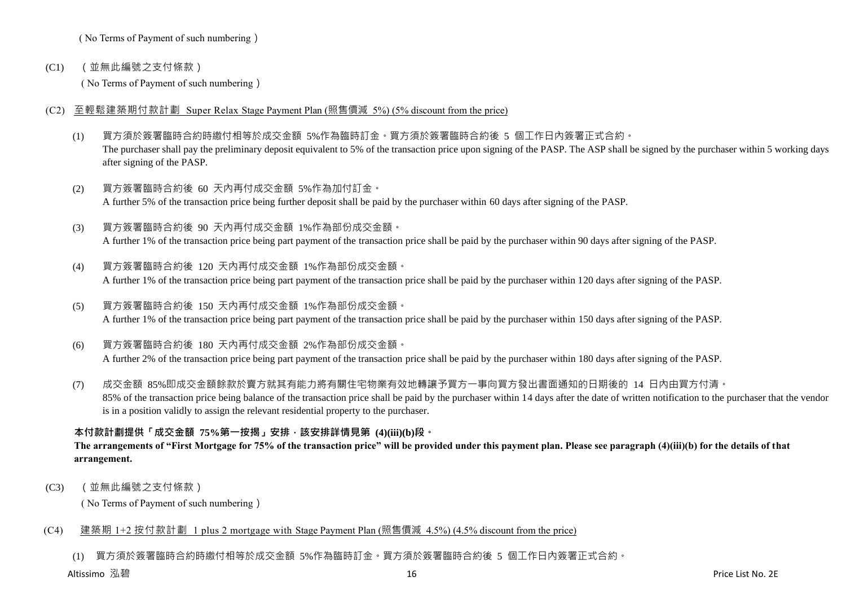( No Terms of Payment of such numbering)

(C1) (並無此編號之支付條款)

( No Terms of Payment of such numbering)

- (C2) 至輕鬆建築期付款計劃 Super Relax Stage Payment Plan (照售價減 5%) (5% discount from the price)
	- (1) 買方須於簽署臨時合約時繳付相等於成交金額 5%作為臨時訂金。買方須於簽署臨時合約後 5 個工作日內簽署正式合約。 The purchaser shall pay the preliminary deposit equivalent to 5% of the transaction price upon signing of the PASP. The ASP shall be signed by the purchaser within 5 working days after signing of the PASP.
	- (2) 買方簽署臨時合約後 60 天內再付成交金額 5%作為加付訂金。 A further 5% of the transaction price being further deposit shall be paid by the purchaser within 60 days after signing of the PASP.
	- (3) 買方簽署臨時合約後 90 天內再付成交金額 1%作為部份成交金額。 A further 1% of the transaction price being part payment of the transaction price shall be paid by the purchaser within 90 days after signing of the PASP.
	- (4) 買方簽署臨時合約後 120 天內再付成交金額 1%作為部份成交金額。 A further 1% of the transaction price being part payment of the transaction price shall be paid by the purchaser within 120 days after signing of the PASP.
	- (5) 買方簽署臨時合約後 150 天內再付成交金額 1%作為部份成交金額。 A further 1% of the transaction price being part payment of the transaction price shall be paid by the purchaser within 150 days after signing of the PASP.
	- (6) 買方簽署臨時合約後 180 天內再付成交金額 2%作為部份成交金額。 A further 2% of the transaction price being part payment of the transaction price shall be paid by the purchaser within 180 days after signing of the PASP.
	- (7) 成交金額 85%即成交金額餘款於賣方就其有能力將有關住宅物業有效地轉讓予買方一事向買方發出書面通知的日期後的 14 日內由買方付清。 85% of the transaction price being balance of the transaction price shall be paid by the purchaser within 14 days after the date of written notification to the purchaser that the vendor is in a position validly to assign the relevant residential property to the purchaser.

# **本付款計劃提供「成交金額 75%第一按揭」安排,該安排詳情見第 (4)(iii)(b)段。**

## **The arrangements of "First Mortgage for 75% of the transaction price" will be provided under this payment plan. Please see paragraph (4)(iii)(b) for the details of that arrangement.**

(C3) (並無此編號之支付條款)

( No Terms of Payment of such numbering)

## (C4) 建築期 1+2 按付款計劃 1 plus 2 mortgage with Stage Payment Plan (照售價減 4.5%) (4.5% discount from the price)

(1) 買方須於簽署臨時合約時繳付相等於成交金額 5%作為臨時訂金。買方須於簽署臨時合約後 5 個工作日內簽署正式合約。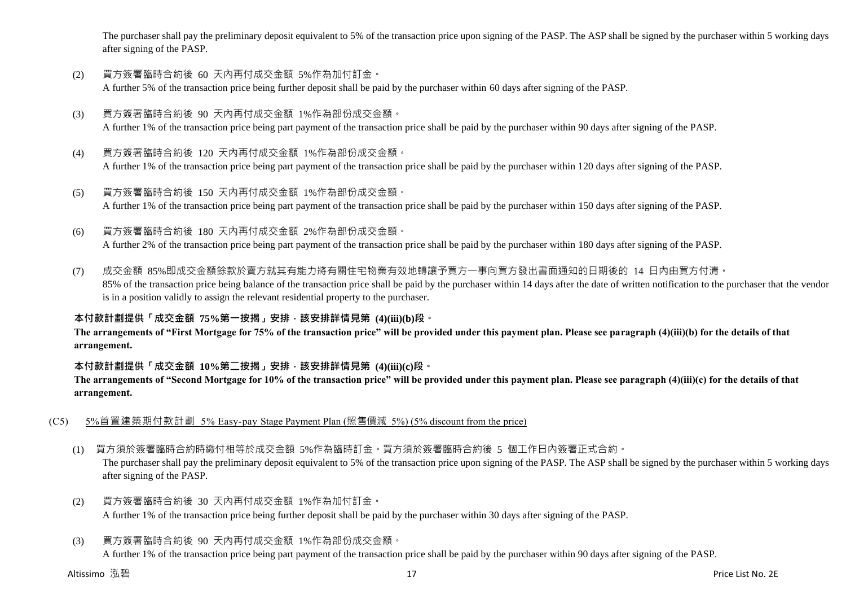The purchaser shall pay the preliminary deposit equivalent to 5% of the transaction price upon signing of the PASP. The ASP shall be signed by the purchaser within 5 working days after signing of the PASP.

- (2) 買方簽署臨時合約後 60 天內再付成交金額 5%作為加付訂金。 A further 5% of the transaction price being further deposit shall be paid by the purchaser within 60 days after signing of the PASP.
- (3) 買方簽署臨時合約後 90 天內再付成交金額 1%作為部份成交金額。 A further 1% of the transaction price being part payment of the transaction price shall be paid by the purchaser within 90 days after signing of the PASP.
- (4) 買方簽署臨時合約後 120 天內再付成交金額 1%作為部份成交金額。 A further 1% of the transaction price being part payment of the transaction price shall be paid by the purchaser within 120 days after signing of the PASP.
- (5) 買方簽署臨時合約後 150 天內再付成交金額 1%作為部份成交金額。 A further 1% of the transaction price being part payment of the transaction price shall be paid by the purchaser within 150 days after signing of the PASP.
- (6) 買方簽署臨時合約後 180 天內再付成交金額 2%作為部份成交金額。

A further 2% of the transaction price being part payment of the transaction price shall be paid by the purchaser within 180 days after signing of the PASP.

(7) 成交金額 85%即成交金額餘款於賣方就其有能力將有關住宅物業有效地轉讓予買方一事向買方發出書面通知的日期後的 14 日內由買方付清。 85% of the transaction price being balance of the transaction price shall be paid by the purchaser within 14 days after the date of written notification to the purchaser that the vendor is in a position validly to assign the relevant residential property to the purchaser.

## **本付款計劃提供「成交金額 75%第一按揭」安排,該安排詳情見第 (4)(iii)(b)段。**

**The arrangements of "First Mortgage for 75% of the transaction price" will be provided under this payment plan. Please see paragraph (4)(iii)(b) for the details of that arrangement.**

#### **本付款計劃提供「成交金額 10%第二按揭」安排,該安排詳情見第 (4)(iii)(c)段。**

**The arrangements of "Second Mortgage for 10% of the transaction price" will be provided under this payment plan. Please see paragraph (4)(iii)(c) for the details of that arrangement.**

- (C5) 5%首置建築期付款計劃 5% Easy-pay Stage Payment Plan (照售價減 5%) (5% discount from the price)
	- (1) 買方須於簽署臨時合約時繳付相等於成交金額 5%作為臨時訂金。買方須於簽署臨時合約後 5 個工作日內簽署正式合約。

The purchaser shall pay the preliminary deposit equivalent to 5% of the transaction price upon signing of the PASP. The ASP shall be signed by the purchaser within 5 working days after signing of the PASP.

- (2) 買方簽署臨時合約後 30 天內再付成交金額 1%作為加付訂金。 A further 1% of the transaction price being further deposit shall be paid by the purchaser within 30 days after signing of the PASP.
- (3) 買方簽署臨時合約後 90 天內再付成交金額 1%作為部份成交金額。

A further 1% of the transaction price being part payment of the transaction price shall be paid by the purchaser within 90 days after signing of the PASP.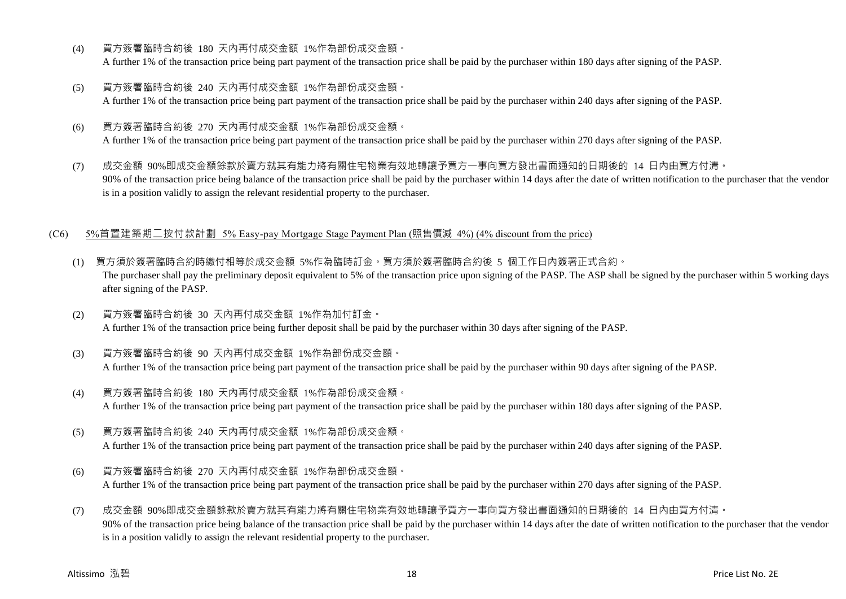- (4) 買方簽署臨時合約後 180 天內再付成交金額 1%作為部份成交金額。 A further 1% of the transaction price being part payment of the transaction price shall be paid by the purchaser within 180 days after signing of the PASP.
- (5) 買方簽署臨時合約後 240 天內再付成交金額 1%作為部份成交金額。 A further 1% of the transaction price being part payment of the transaction price shall be paid by the purchaser within 240 days after signing of the PASP.
- (6) 買方簽署臨時合約後 270 天內再付成交金額 1%作為部份成交金額。 A further 1% of the transaction price being part payment of the transaction price shall be paid by the purchaser within 270 days after signing of the PASP.
- (7) 成交金額 90%即成交金額餘款於賣方就其有能力將有關住宅物業有效地轉讓予買方一事向買方發出書面通知的日期後的 14 日內由買方付清。 90% of the transaction price being balance of the transaction price shall be paid by the purchaser within 14 days after the date of written notification to the purchaser that the vendor is in a position validly to assign the relevant residential property to the purchaser.

#### (C6) 5%首置建築期二按付款計劃 5% Easy-pay Mortgage Stage Payment Plan (照售價減 4%) (4% discount from the price)

- (1) 買方須於簽署臨時合約時繳付相等於成交金額 5%作為臨時訂金。買方須於簽署臨時合約後 5 個工作日內簽署正式合約。 The purchaser shall pay the preliminary deposit equivalent to 5% of the transaction price upon signing of the PASP. The ASP shall be signed by the purchaser within 5 working days after signing of the PASP.
- (2) 買方簽署臨時合約後 30 天內再付成交金額 1%作為加付訂金。 A further 1% of the transaction price being further deposit shall be paid by the purchaser within 30 days after signing of the PASP.
- (3) 買方簽署臨時合約後 90 天內再付成交金額 1%作為部份成交金額。 A further 1% of the transaction price being part payment of the transaction price shall be paid by the purchaser within 90 days after signing of the PASP.
- (4) 買方簽署臨時合約後 180 天內再付成交金額 1%作為部份成交金額。 A further 1% of the transaction price being part payment of the transaction price shall be paid by the purchaser within 180 days after signing of the PASP.
- (5) 買方簽署臨時合約後 240 天內再付成交金額 1%作為部份成交金額。

A further 1% of the transaction price being part payment of the transaction price shall be paid by the purchaser within 240 days after signing of the PASP.

- (6) 買方簽署臨時合約後 270 天內再付成交金額 1%作為部份成交金額。 A further 1% of the transaction price being part payment of the transaction price shall be paid by the purchaser within 270 days after signing of the PASP.
- (7) 成交金額 90%即成交金額餘款於賣方就其有能力將有關住宅物業有效地轉讓予買方一事向買方發出書面通知的日期後的 14 日內由買方付清。 90% of the transaction price being balance of the transaction price shall be paid by the purchaser within 14 days after the date of written notification to the purchaser that the vendor is in a position validly to assign the relevant residential property to the purchaser.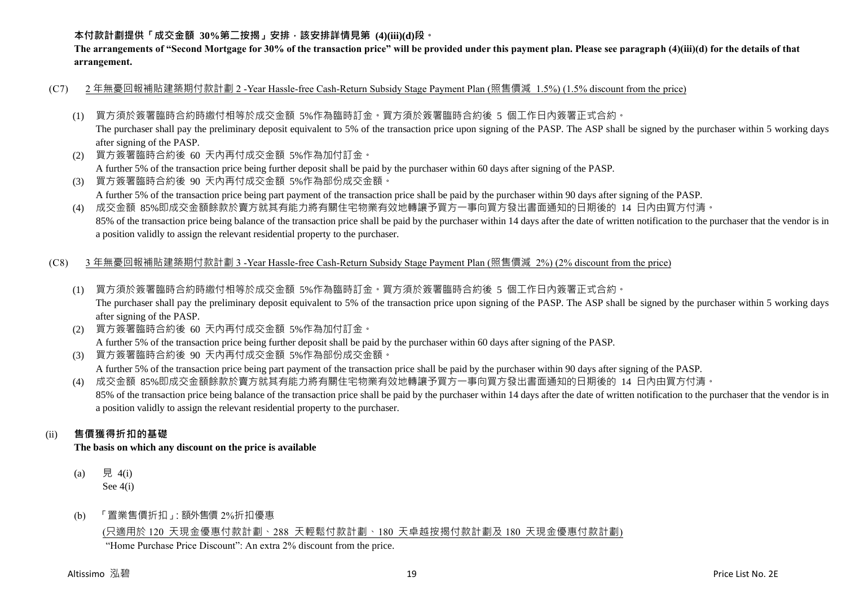## **本付款計劃提供「成交金額 30%第二按揭」安排,該安排詳情見第 (4)(iii)(d)段。**

**The arrangements of "Second Mortgage for 30% of the transaction price" will be provided under this payment plan. Please see paragraph (4)(iii)(d) for the details of that arrangement.**

- (C7) 2 年無憂回報補貼建築期付款計劃 2 -Year Hassle-free Cash-Return Subsidy Stage Payment Plan (照售價減 1.5%) (1.5% discount from the price)
	- (1) 買方須於簽署臨時合約時繳付相等於成交金額 5%作為臨時訂金。買方須於簽署臨時合約後 5 個工作日內簽署正式合約。

The purchaser shall pay the preliminary deposit equivalent to 5% of the transaction price upon signing of the PASP. The ASP shall be signed by the purchaser within 5 working days after signing of the PASP.

(2) 買方簽署臨時合約後 60 天內再付成交金額 5%作為加付訂金。

A further 5% of the transaction price being further deposit shall be paid by the purchaser within 60 days after signing of the PASP.

(3) 買方簽署臨時合約後 90 天內再付成交金額 5%作為部份成交金額。 A further 5% of the transaction price being part payment of the transaction price shall be paid by the purchaser within 90 days after signing of the PASP.

(4) 成交金額 85%即成交金額餘款於賣方就其有能力將有關住宅物業有效地轉讓予買方一事向買方發出書面通知的日期後的 14 日內由買方付清。 85% of the transaction price being balance of the transaction price shall be paid by the purchaser within 14 days after the date of written notification to the purchaser that the vendor is in a position validly to assign the relevant residential property to the purchaser.

#### (C8) 3 年無憂回報補貼建築期付款計劃 3 -Year Hassle-free Cash-Return Subsidy Stage Payment Plan (照售價減 2%) (2% discount from the price)

- (1) 買方須於簽署臨時合約時繳付相等於成交金額 5%作為臨時訂金。買方須於簽署臨時合約後 5 個工作日內簽署正式合約。 The purchaser shall pay the preliminary deposit equivalent to 5% of the transaction price upon signing of the PASP. The ASP shall be signed by the purchaser within 5 working days after signing of the PASP.
- (2) 買方簽署臨時合約後 60 天內再付成交金額 5%作為加付訂金。

A further 5% of the transaction price being further deposit shall be paid by the purchaser within 60 days after signing of the PASP.

(3) 買方簽署臨時合約後 90 天內再付成交金額 5%作為部份成交金額。

A further 5% of the transaction price being part payment of the transaction price shall be paid by the purchaser within 90 days after signing of the PASP.

(4) 成交金額 85%即成交金額餘款於賣方就其有能力將有關住宅物業有效地轉讓予買方一事向買方發出書面通知的日期後的 14 日內由買方付清。 85% of the transaction price being balance of the transaction price shall be paid by the purchaser within 14 days after the date of written notification to the purchaser that the vendor is in a position validly to assign the relevant residential property to the purchaser.

## (ii) **售價獲得折扣的基礎**

**The basis on which any discount on the price is available**

- (a) 見 4(i) See 4(i)
- (b) 「置業售價折扣」:額外售價 2%折扣優惠

## (只適用於 120 天現金優惠付款計劃、288 天輕鬆付款計劃、180 天卓越按揭付款計劃及 180 天現金優惠付款計劃)

"Home Purchase Price Discount": An extra 2% discount from the price.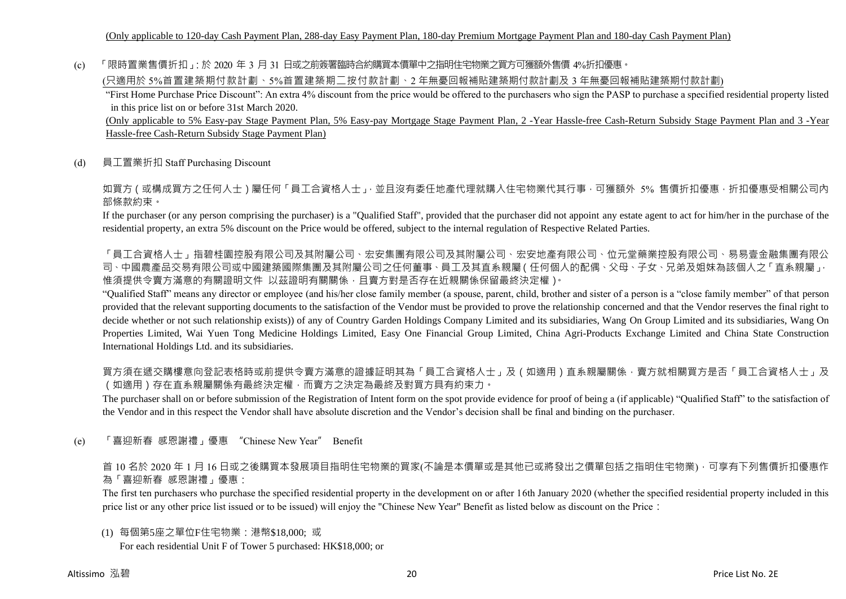(c) 「限時置業售價折扣」:於 2020 年 3 月 31 日或之前簽署臨時合約購買本價單中之指明住宅物業之買方可獲額外售價 4%折扣優惠。

(只適用於 5%首置建築期付款計劃、5%首置建築期二按付款計劃、2 年無憂回報補貼建築期付款計劃及 3 年無憂回報補貼建築期付款計劃)

"First Home Purchase Price Discount": An extra 4% discount from the price would be offered to the purchasers who sign the PASP to purchase a specified residential property listed in this price list on or before 31st March 2020.

(Only applicable to 5% Easy-pay Stage Payment Plan, 5% Easy-pay Mortgage Stage Payment Plan, 2 -Year Hassle-free Cash-Return Subsidy Stage Payment Plan and 3 -Year Hassle-free Cash-Return Subsidy Stage Payment Plan)

(d) 員工置業折扣 Staff Purchasing Discount

如買方(或構成買方之任何人士)屬任何「員工合資格人士」,並且沒有委任地產代理就購入住宅物業代其行事,可獲額外 5% 售價折扣優惠,折扣優惠受相關公司內 部條款約束。

If the purchaser (or any person comprising the purchaser) is a "Qualified Staff", provided that the purchaser did not appoint any estate agent to act for him/her in the purchase of the residential property, an extra 5% discount on the Price would be offered, subject to the internal regulation of Respective Related Parties.

「員工合資格人士」指碧桂園控股有限公司及其附屬公司、宏安集團有限公司及其附屬公司、宏安地產有限公司、位元堂藥業控股有限公司、易易壹金融集團有限公 司、中國農產品交易有限公司或中國建築國際集團及其附屬公司之任何董事、員工及其直系親屬(任何個人的配偶、父母、子女、兄弟及姐妹為該個人之「直系親屬」, 惟須提供令賣方滿意的有關證明文件 以茲證明有關關係,且賣方對是否存在近親關係保留最終決定權)。

"Qualified Staff" means any director or employee (and his/her close family member (a spouse, parent, child, brother and sister of a person is a "close family member" of that person provided that the relevant supporting documents to the satisfaction of the Vendor must be provided to prove the relationship concerned and that the Vendor reserves the final right to decide whether or not such relationship exists)) of any of Country Garden Holdings Company Limited and its subsidiaries, Wang On Group Limited and its subsidiaries, Wang On Properties Limited, Wai Yuen Tong Medicine Holdings Limited, Easy One Financial Group Limited, China Agri-Products Exchange Limited and China State Construction International Holdings Ltd. and its subsidiaries.

買方須在遞交購樓意向登記表格時或前提供令賣方滿意的證據証明其為「員工合資格人士」及(如適用)直系親屬關係,賣方就相關買方是否「員工合資格人士」及 (如適用)存在直系親屬關係有最終決定權,而賣方之決定為最終及對買方具有約束力。

The purchaser shall on or before submission of the Registration of Intent form on the spot provide evidence for proof of being a (if applicable) "Qualified Staff" to the satisfaction of the Vendor and in this respect the Vendor shall have absolute discretion and the Vendor's decision shall be final and binding on the purchaser.

(e) 「喜迎新春 感恩謝禮」優惠 "Chinese New Year" Benefit

首 10 名於 2020 年 1 月 16 日或之後購買本發展項目指明住宅物業的買家(不論是本價單或是其他已或將發出之價單包括之指明住宅物業),可享有下列售價折扣優惠作 為「喜迎新春 感恩謝禮」優惠:

The first ten purchasers who purchase the specified residential property in the development on or after 16th January 2020 (whether the specified residential property included in this price list or any other price list issued or to be issued) will enjoy the "Chinese New Year" Benefit as listed below as discount on the Price:

(1) 每個第5座之單位F住宅物業:港幣\$18,000; 或

For each residential Unit F of Tower 5 purchased: HK\$18,000; or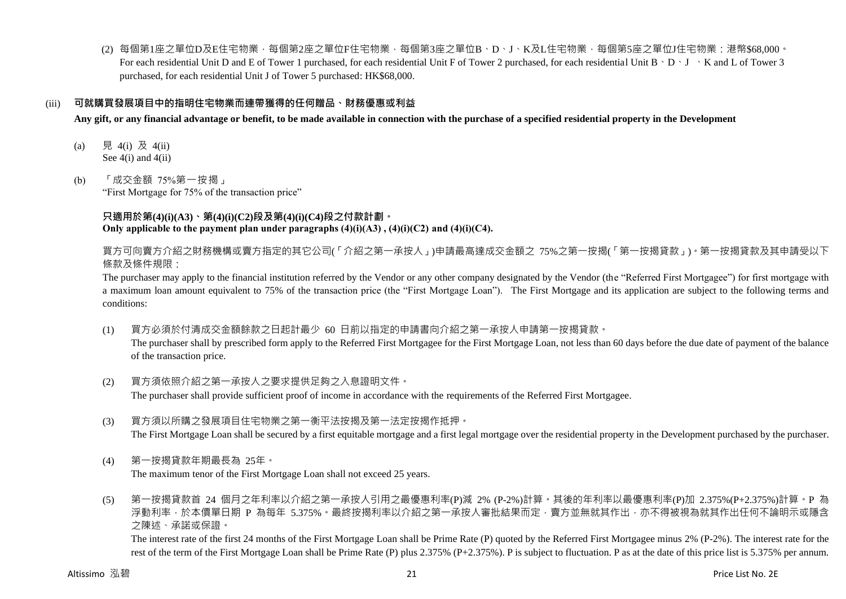(2) 每個第1座之單位D及E住宅物業,每個第2座之單位F住宅物業,每個第3座之單位B、D、J、K及L住宅物業,每個第5座之單位J住宅物業:港幣\$68,000。 For each residential Unit D and E of Tower 1 purchased, for each residential Unit F of Tower 2 purchased, for each residential Unit B  $\cdot$  D  $\cdot$  J  $\cdot$  K and L of Tower 3 purchased, for each residential Unit J of Tower 5 purchased: HK\$68,000.

#### (iii) **可就購買發展項目中的指明住宅物業而連帶獲得的任何贈品、財務優惠或利益**

**Any gift, or any financial advantage or benefit, to be made available in connection with the purchase of a specified residential property in the Development**

- (a) 見 4(i) 及 4(ii) See  $4(i)$  and  $4(ii)$
- (b) 「成交金額 75%第一按揭」 "First Mortgage for 75% of the transaction price"

### **只適用於第(4)(i)(A3)、第(4)(i)(C2)段及第(4)(i)(C4)段之付款計劃。** Only applicable to the payment plan under paragraphs  $(4)(i)(A3)$ ,  $(4)(i)(C2)$  and  $(4)(i)(C4)$ .

買方可向賣方介紹之財務機構或賣方指定的其它公司(「介紹之第一承按人」)申請最高達成交金額之 75%之第一按揭(「第一按揭貸款」)。第一按揭貸款及其申請受以下 條款及條件規限:

The purchaser may apply to the financial institution referred by the Vendor or any other company designated by the Vendor (the "Referred First Mortgagee") for first mortgage with a maximum loan amount equivalent to 75% of the transaction price (the "First Mortgage Loan"). The First Mortgage and its application are subject to the following terms and conditions:

- (1) 買方必須於付清成交金額餘款之日起計最少 60 日前以指定的申請書向介紹之第一承按人申請第一按揭貸款。 The purchaser shall by prescribed form apply to the Referred First Mortgagee for the First Mortgage Loan, not less than 60 days before the due date of payment of the balance of the transaction price.
- (2) 買方須依照介紹之第一承按人之要求提供足夠之入息證明文件。 The purchaser shall provide sufficient proof of income in accordance with the requirements of the Referred First Mortgagee.
- (3) 買方須以所購之發展項目住宅物業之第一衡平法按揭及第一法定按揭作抵押。 The First Mortgage Loan shall be secured by a first equitable mortgage and a first legal mortgage over the residential property in the Development purchased by the purchaser.
- (4) 第一按揭貸款年期最長為 25年。

The maximum tenor of the First Mortgage Loan shall not exceed 25 years.

(5) 第一按揭貸款首 24 個月之年利率以介紹之第一承按人引用之最優惠利率(P)減 2% (P-2%)計算。其後的年利率以最優惠利率(P)加 2.375%(P+2.375%)計算。P 為 浮動利率,於本價單日期 P 為每年 5.375%。最終按揭利率以介紹之第一承按人審批結果而定,賣方並無就其作出,亦不得被視為就其作出任何不論明示或隱含 之陳述、承諾或保證。

The interest rate of the first 24 months of the First Mortgage Loan shall be Prime Rate (P) quoted by the Referred First Mortgagee minus 2% (P-2%). The interest rate for the rest of the term of the First Mortgage Loan shall be Prime Rate (P) plus 2.375% (P+2.375%). P is subject to fluctuation. P as at the date of this price list is 5.375% per annum.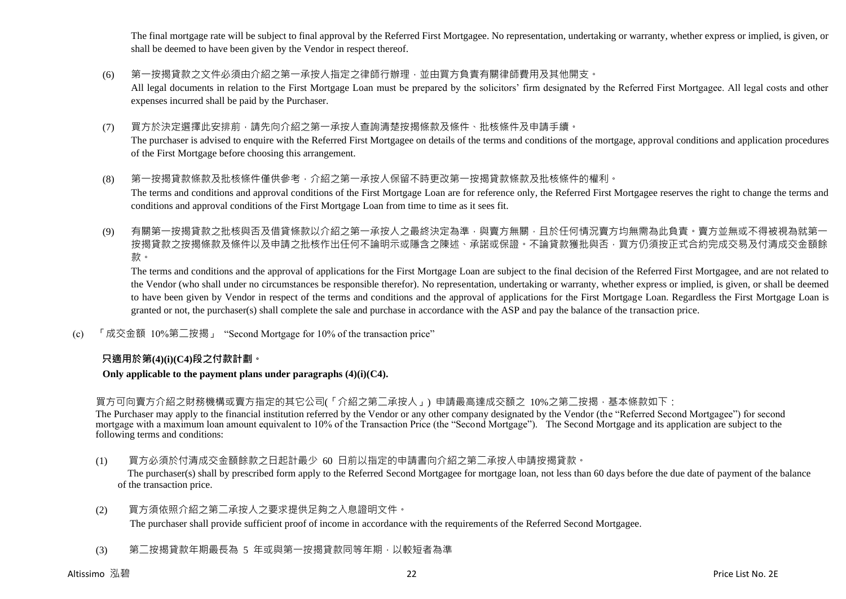The final mortgage rate will be subject to final approval by the Referred First Mortgagee. No representation, undertaking or warranty, whether express or implied, is given, or shall be deemed to have been given by the Vendor in respect thereof.

- (6) 第一按揭貸款之文件必須由介紹之第一承按人指定之律師行辦理,並由買方負責有關律師費用及其他開支。 All legal documents in relation to the First Mortgage Loan must be prepared by the solicitors' firm designated by the Referred First Mortgagee. All legal costs and other expenses incurred shall be paid by the Purchaser.
- (7) 買方於決定選擇此安排前,請先向介紹之第一承按人查詢清楚按揭條款及條件、批核條件及申請手續。 The purchaser is advised to enquire with the Referred First Mortgagee on details of the terms and conditions of the mortgage, approval conditions and application procedures of the First Mortgage before choosing this arrangement.
- (8) 第一按揭貸款條款及批核條件僅供參考,介紹之第一承按人保留不時更改第一按揭貸款條款及批核條件的權利。 The terms and conditions and approval conditions of the First Mortgage Loan are for reference only, the Referred First Mortgagee reserves the right to change the terms and conditions and approval conditions of the First Mortgage Loan from time to time as it sees fit.
- (9) 有關第一按揭貸款之批核與否及借貸條款以介紹之第一承按人之最終決定為準,與賣方無關,且於任何情況賣方均無需為此負責。賣方並無或不得被視為就第 按揭貸款之按揭條款及條件以及申請之批核作出任何不論明示或隱含之陳述、承諾或保證。不論貸款獲批與否,買方仍須按正式合約完成交易及付清成交金額餘 款。

The terms and conditions and the approval of applications for the First Mortgage Loan are subject to the final decision of the Referred First Mortgagee, and are not related to the Vendor (who shall under no circumstances be responsible therefor). No representation, undertaking or warranty, whether express or implied, is given, or shall be deemed to have been given by Vendor in respect of the terms and conditions and the approval of applications for the First Mortgage Loan. Regardless the First Mortgage Loan is granted or not, the purchaser(s) shall complete the sale and purchase in accordance with the ASP and pay the balance of the transaction price.

(c) 「成交金額 10%第二按揭」 "Second Mortgage for 10% of the transaction price"

#### **只適用於第(4)(i)(C4)段之付款計劃。**

**Only applicable to the payment plans under paragraphs (4)(i)(C4).**

買方可向賣方介紹之財務機構或賣方指定的其它公司(「介紹之第二承按人」) 申請最高達成交額之 10%之第二按揭,基本條款如下:

The Purchaser may apply to the financial institution referred by the Vendor or any other company designated by the Vendor (the "Referred Second Mortgagee") for second mortgage with a maximum loan amount equivalent to 10% of the Transaction Price (the "Second Mortgage"). The Second Mortgage and its application are subject to the following terms and conditions:

(1) 買方必須於付清成交金額餘款之日起計最少 60 日前以指定的申請書向介紹之第二承按人申請按揭貸款。

The purchaser(s) shall by prescribed form apply to the Referred Second Mortgagee for mortgage loan, not less than 60 days before the due date of payment of the balance of the transaction price.

- (2) 買方須依照介紹之第二承按人之要求提供足夠之入息證明文件。 The purchaser shall provide sufficient proof of income in accordance with the requirements of the Referred Second Mortgagee.
- (3) 第二按揭貸款年期最長為 5 年或與第一按揭貸款同等年期,以較短者為準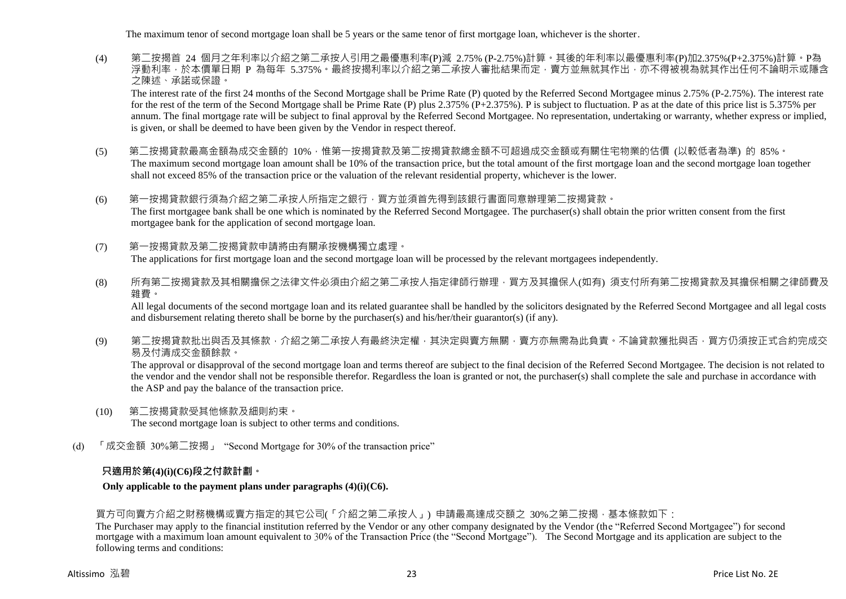The maximum tenor of second mortgage loan shall be 5 years or the same tenor of first mortgage loan, whichever is the shorter.

(4) 第二按揭首 24 個月之年利率以介紹之第二承按人引用之最優惠利率(P)減 2.75% (P-2.75%)計算。其後的年利率以最優惠利率(P)加2.375%(P+2.375%)計算。P為 浮動利率,於本價單日期 P 為每年 5.375%。最終按揭利率以介紹之第二承按人審批結果而定,賣方並無就其作出,亦不得被視為就其作出任何不論明示或隱含 之陳述、承諾或保證。

The interest rate of the first 24 months of the Second Mortgage shall be Prime Rate (P) quoted by the Referred Second Mortgagee minus 2.75% (P-2.75%). The interest rate for the rest of the term of the Second Mortgage shall be Prime Rate (P) plus 2.375% (P+2.375%). P is subject to fluctuation. P as at the date of this price list is 5.375% per annum. The final mortgage rate will be subject to final approval by the Referred Second Mortgagee. No representation, undertaking or warranty, whether express or implied, is given, or shall be deemed to have been given by the Vendor in respect thereof.

- (5) 第二按揭貸款最高金額為成交金額的 10%,惟第一按揭貸款及第二按揭貸款總金額不可超過成交金額或有關住宅物業的估價 (以較低者為準) 的 85%。 The maximum second mortgage loan amount shall be 10% of the transaction price, but the total amount of the first mortgage loan and the second mortgage loan together shall not exceed 85% of the transaction price or the valuation of the relevant residential property, whichever is the lower.
- (6) 第一按揭貸款銀行須為介紹之第二承按人所指定之銀行,買方並須首先得到該銀行書面同意辦理第二按揭貸款。 The first mortgagee bank shall be one which is nominated by the Referred Second Mortgagee. The purchaser(s) shall obtain the prior written consent from the first mortgagee bank for the application of second mortgage loan.
- (7) 第一按揭貸款及第二按揭貸款申請將由有關承按機構獨立處理。 The applications for first mortgage loan and the second mortgage loan will be processed by the relevant mortgagees independently.
- (8) 所有第二按揭貸款及其相關擔保之法律文件必須由介紹之第二承按人指定律師行辦理,買方及其擔保人(如有) 須支付所有第二按揭貸款及其擔保相關之律師費及 雜費。

All legal documents of the second mortgage loan and its related guarantee shall be handled by the solicitors designated by the Referred Second Mortgagee and all legal costs and disbursement relating thereto shall be borne by the purchaser(s) and his/her/their guarantor(s) (if any).

(9) 第二按揭貸款批出與否及其條款,介紹之第二承按人有最終決定權,其決定與賣方無關,賣方亦無需為此負責。不論貸款獲批與否,買方仍須按正式合約完成交 易及付清成交金額餘款。

The approval or disapproval of the second mortgage loan and terms thereof are subject to the final decision of the Referred Second Mortgagee. The decision is not related to the vendor and the vendor shall not be responsible therefor. Regardless the loan is granted or not, the purchaser(s) shall complete the sale and purchase in accordance with the ASP and pay the balance of the transaction price.

- (10) 第二按揭貸款受其他條款及細則約束。 The second mortgage loan is subject to other terms and conditions.
- (d) 「成交金額 30%第二按揭」 "Second Mortgage for 30% of the transaction price"

## **只適用於第(4)(i)(C6)段之付款計劃。**

**Only applicable to the payment plans under paragraphs (4)(i)(C6).**

## 買方可向賣方介紹之財務機構或賣方指定的其它公司(「介紹之第二承按人」) 申請最高達成交額之 30%之第二按揭,基本條款如下:

The Purchaser may apply to the financial institution referred by the Vendor or any other company designated by the Vendor (the "Referred Second Mortgagee") for second mortgage with a maximum loan amount equivalent to 30% of the Transaction Price (the "Second Mortgage"). The Second Mortgage and its application are subject to the following terms and conditions: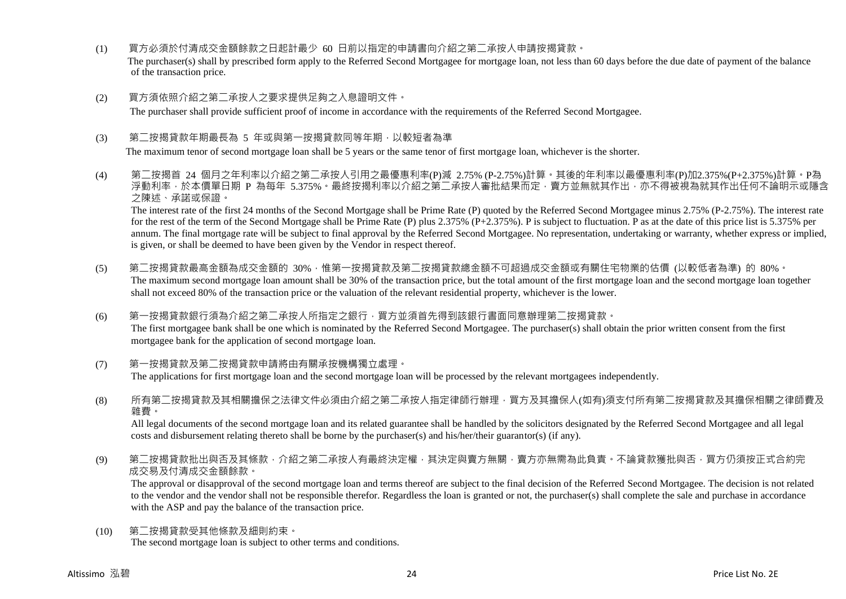- (1) 買方必須於付清成交金額餘款之日起計最少 60 日前以指定的申請書向介紹之第二承按人申請按揭貸款。 The purchaser(s) shall by prescribed form apply to the Referred Second Mortgagee for mortgage loan, not less than 60 days before the due date of payment of the balance of the transaction price.
- (2) 買方須依照介紹之第二承按人之要求提供足夠之入息證明文件。

The purchaser shall provide sufficient proof of income in accordance with the requirements of the Referred Second Mortgagee.

(3) 第<sup>一</sup>按揭貸款年期最長為 5 年或與第一按揭貸款同等年期,以較短者為準

The maximum tenor of second mortgage loan shall be 5 years or the same tenor of first mortgage loan, whichever is the shorter.

(4) 第二按揭首 24 個月之年利率以介紹之第二承按人引用之最優惠利率(P)減 2.75% (P-2.75%)計算。其後的年利率以最優惠利率(P)加2.375%(P+2.375%)計算。P為 浮動利率,於本價單日期 P 為每年 5.375%。最終按揭利率以介紹之第<sup>一</sup>承按人審批結果而定,賣方並無就其作出,亦不得被視為就其作出任何不論明示或隱含 之陳述、承諾或保證。

The interest rate of the first 24 months of the Second Mortgage shall be Prime Rate (P) quoted by the Referred Second Mortgagee minus 2.75% (P-2.75%). The interest rate for the rest of the term of the Second Mortgage shall be Prime Rate (P) plus 2.375% (P+2.375%). P is subject to fluctuation. P as at the date of this price list is 5.375% per annum. The final mortgage rate will be subject to final approval by the Referred Second Mortgagee. No representation, undertaking or warranty, whether express or implied, is given, or shall be deemed to have been given by the Vendor in respect thereof.

- (5) 第二按揭貸款最高金額為成交金額的 30%,惟第一按揭貸款及第二按揭貸款總金額不可超過成交金額或有關住宅物業的估價 (以較低者為準) 的 80%。 The maximum second mortgage loan amount shall be 30% of the transaction price, but the total amount of the first mortgage loan and the second mortgage loan together shall not exceed 80% of the transaction price or the valuation of the relevant residential property, whichever is the lower.
- (6) 第一按揭貸款銀行須為介紹之第二承按人所指定之銀行,買方並須首先得到該銀行書面同意辦理第二按揭貸款。 The first mortgagee bank shall be one which is nominated by the Referred Second Mortgagee. The purchaser(s) shall obtain the prior written consent from the first mortgagee bank for the application of second mortgage loan.
- (7) 第一按揭貸款及第二按揭貸款申請將由有關承按機構獨立處理。 The applications for first mortgage loan and the second mortgage loan will be processed by the relevant mortgagees independently.
- (8) 所有第<sup>一</sup>按揭貸款及其相關擔保之法律文件必須由介紹之第<sup>一</sup>承按人指定律師行辦理,買方及其擔保人(如有)須支付所有第<sup>一</sup>按揭貸款及其擔保相關之律師費及 雜費。

All legal documents of the second mortgage loan and its related guarantee shall be handled by the solicitors designated by the Referred Second Mortgagee and all legal costs and disbursement relating thereto shall be borne by the purchaser(s) and his/her/their guarantor(s) (if any).

(9) 第二按揭貸款批出與否及其條款,介紹之第二承按人有最終決定權,其決定與賣方無關,賣方亦無需為此負責。不論貸款獲批與否,買方仍須按正式合約完 成交易及付清成交金額餘款。

The approval or disapproval of the second mortgage loan and terms thereof are subject to the final decision of the Referred Second Mortgagee. The decision is not related to the vendor and the vendor shall not be responsible therefor. Regardless the loan is granted or not, the purchaser(s) shall complete the sale and purchase in accordance with the ASP and pay the balance of the transaction price.

(10) 第二按揭貸款受其他條款及細則約束。 The second mortgage loan is subject to other terms and conditions.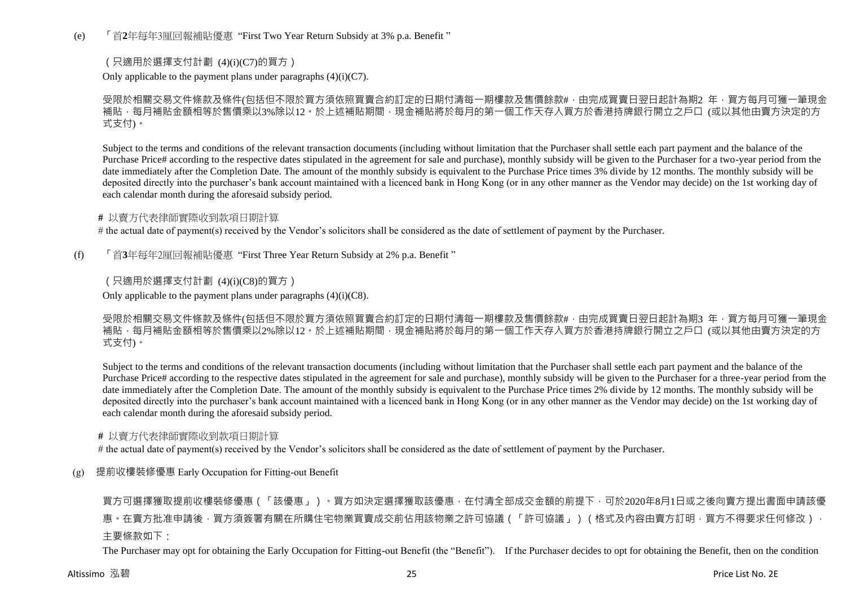(e) 「首**2**年每年3厘回報補貼優惠 "First Two Year Return Subsidy at 3% p.a. Benefit "

## (只適用於選擇支付計劃 (4)(i)(C7)的買方)

Only applicable to the payment plans under paragraphs  $(4)(i)(C7)$ .

受限於相關交易文件條款及條件(包括但不限於買方須依照買賣合約訂定的日期付清每一期樓款及售價餘款#,由完成買賣日翌日起計為期2 年,買方每月可獲一筆現金 補貼,每月補貼金額相等於售價乘以3%除以12。於上述補貼期間,現金補貼將於每月的第一個工作天存入買方於香港持牌銀行開立之戶口 (或以其他由賣方決定的方 式支付)。

Subject to the terms and conditions of the relevant transaction documents (including without limitation that the Purchaser shall settle each part payment and the balance of the Purchase Price# according to the respective dates stipulated in the agreement for sale and purchase), monthly subsidy will be given to the Purchaser for a two-year period from the date immediately after the Completion Date. The amount of the monthly subsidy is equivalent to the Purchase Price times 3% divide by 12 months. The monthly subsidy will be deposited directly into the purchaser's bank account maintained with a licenced bank in Hong Kong (or in any other manner as the Vendor may decide) on the 1st working day of each calendar month during the aforesaid subsidy period.

#### **#** 以賣方代表律師實際收到款項日期計算

# the actual date of payment(s) received by the Vendor's solicitors shall be considered as the date of settlement of payment by the Purchaser.

(f) 「首**3**年每年2厘回報補貼優惠 "First Three Year Return Subsidy at 2% p.a. Benefit "

## (只適用於選擇支付計劃 (4)(i)(C8)的買方)

Only applicable to the payment plans under paragraphs  $(4)(i)(C8)$ .

受限於相關交易文件條款及條件(包括但不限於買方須依照買賣合約訂定的日期付清每一期樓款及售價餘款#,由完成買賣日翌日起計為期3 年,買方每月可獲一筆現金 補貼,每月補貼金額相等於售價乘以2%除以12。於上述補貼期間,現金補貼將於每月的第一個工作天存入買方於香港持牌銀行開立之戶口 (或以其他由賣方決定的方 式支付)。

Subject to the terms and conditions of the relevant transaction documents (including without limitation that the Purchaser shall settle each part payment and the balance of the Purchase Price# according to the respective dates stipulated in the agreement for sale and purchase), monthly subsidy will be given to the Purchaser for a three-year period from the date immediately after the Completion Date. The amount of the monthly subsidy is equivalent to the Purchase Price times 2% divide by 12 months. The monthly subsidy will be deposited directly into the purchaser's bank account maintained with a licenced bank in Hong Kong (or in any other manner as the Vendor may decide) on the 1st working day of each calendar month during the aforesaid subsidy period.

#### **#** 以賣方代表律師實際收到款項日期計算

# the actual date of payment(s) received by the Vendor's solicitors shall be considered as the date of settlement of payment by the Purchaser.

## (g) 提前收樓裝修優惠 Early Occupation for Fitting-out Benefit

買方可選擇獲取提前收樓裝修優惠(「該優惠」)。買方如決定選擇獲取該優惠,在付清全部成交金額的前提下,可於2020年8月1日或之後向賣方提出書面申請該優 惠。在賣方批准申請後,買方須簽署有關在所購住宅物業買賣成交前佔用該物業之許可協議(「許可協議」)(格式及內容由賣方訂明,買方不得要求任何修改), 主要條款如下·

The Purchaser may opt for obtaining the Early Occupation for Fitting-out Benefit (the "Benefit"). If the Purchaser decides to opt for obtaining the Benefit, then on the condition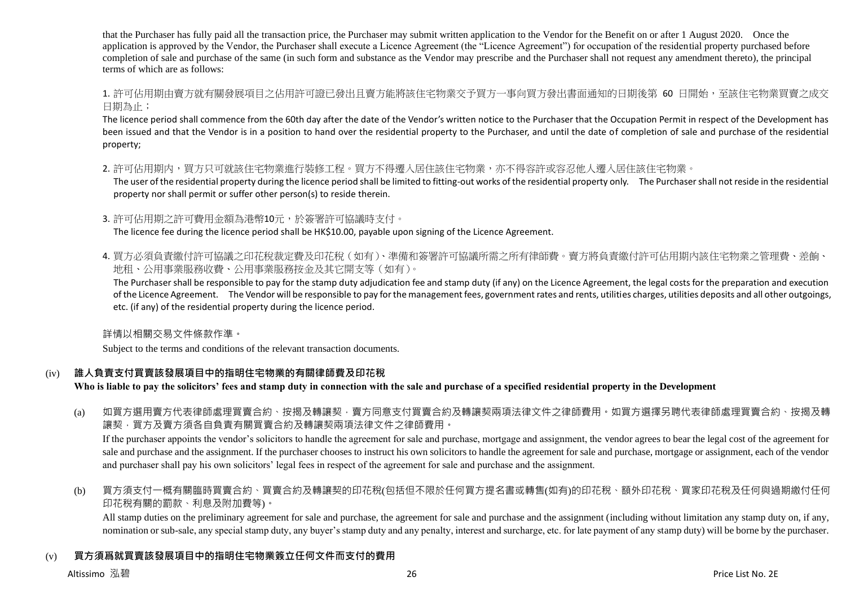that the Purchaser has fully paid all the transaction price, the Purchaser may submit written application to the Vendor for the Benefit on or after 1 August 2020. Once the application is approved by the Vendor, the Purchaser shall execute a Licence Agreement (the "Licence Agreement") for occupation of the residential property purchased before completion of sale and purchase of the same (in such form and substance as the Vendor may prescribe and the Purchaser shall not request any amendment thereto), the principal terms of which are as follows:

1. 許可佔用期由賣方就有關發展項目之佔用許可證已發出且賣方能將該住宅物業交予買方一事向買方發出書面通知的日期後第 60 日開始,至該住宅物業買賣之成交 日期為止;

The licence period shall commence from the 60th day after the date of the Vendor's written notice to the Purchaser that the Occupation Permit in respect of the Development has been issued and that the Vendor is in a position to hand over the residential property to the Purchaser, and until the date of completion of sale and purchase of the residential property;

2. 許可佔用期内,買方只可就該住宅物業進行裝修工程。買方不得遷入居住該住宅物業,亦不得容許或容忍他人遷入居住該住宅物業。

The user of the residential property during the licence period shall be limited to fitting-out works of the residential property only. The Purchaser shall not reside in the residential property nor shall permit or suffer other person(s) to reside therein.

3. 許可佔用期之許可費用金額為港幣10元,於簽署許可協議時支付。

The licence fee during the licence period shall be HK\$10.00, payable upon signing of the Licence Agreement.

4. 買方必須負責繳付許可協議之印花稅就定費及印花稅(如有)、準備和簽署許可協議所需之所有律師費。賣方將負責繳付許可佔用期内該住宅物業之管理費、差餉、 地租、公用事業服務收費、公用事業服務按金及其它開支等(如有)。

The Purchaser shall be responsible to pay for the stamp duty adjudication fee and stamp duty (if any) on the Licence Agreement, the legal costs for the preparation and execution of the Licence Agreement. The Vendor will be responsible to pay for the management fees, government rates and rents, utilities charges, utilities deposits and all other outgoings, etc. (if any) of the residential property during the licence period.

詳情以相關交易文件條款作準。

Subject to the terms and conditions of the relevant transaction documents.

## (iv) **誰人負責支付買賣該發展項目中的指明住宅物業的有關律師費及印花稅**

**Who is liable to pay the solicitors' fees and stamp duty in connection with the sale and purchase of a specified residential property in the Development**

(a) 如買方選用賣方代表律師處理買賣合約、按揭及轉讓契,賣方同意支付買賣合約及轉讓契兩項法律文件之律師費用。如買方選擇另聘代表律師處理買賣合約、按揭及轉 讓契,買方及賣方須各自負責有關買賣合約及轉讓契兩項法律文件之律師費用。

If the purchaser appoints the vendor's solicitors to handle the agreement for sale and purchase, mortgage and assignment, the vendor agrees to bear the legal cost of the agreement for sale and purchase and the assignment. If the purchaser chooses to instruct his own solicitors to handle the agreement for sale and purchase, mortgage or assignment, each of the vendor and purchaser shall pay his own solicitors' legal fees in respect of the agreement for sale and purchase and the assignment.

(b) 買方須支付一概有關臨時買賣合約、買賣合約及轉讓契的印花稅(包括但不限於任何買方提名書或轉售(如有)的印花稅、額外印花稅、買家印花稅及任何與過期繳付任何 印花稅有關的罰款、利息及附加費等)。

All stamp duties on the preliminary agreement for sale and purchase, the agreement for sale and purchase and the assignment (including without limitation any stamp duty on, if any, nomination or sub-sale, any special stamp duty, any buyer's stamp duty and any penalty, interest and surcharge, etc. for late payment of any stamp duty) will be borne by the purchaser.

# (v) **買方須爲就買賣該發展項目中的指明住宅物業簽立任何文件而支付的費用**